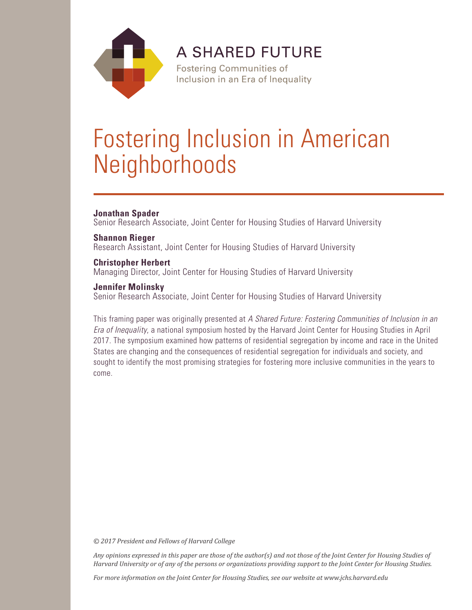

**A SHARED FUTURE** 

**Fostering Communities of** Inclusion in an Era of Inequality

# Fostering Inclusion in American **Neighborhoods**

# **Jonathan Spader**

Senior Research Associate, Joint Center for Housing Studies of Harvard University

# **Shannon Rieger**

Research Assistant, Joint Center for Housing Studies of Harvard University

# **Christopher Herbert**

Managing Director, Joint Center for Housing Studies of Harvard University

# **Jennifer Molinsky**

Senior Research Associate, Joint Center for Housing Studies of Harvard University

This framing paper was originally presented at *A Shared Future: Fostering Communities of Inclusion in an Era of Inequality*, a national symposium hosted by the Harvard Joint Center for Housing Studies in April 2017. The symposium examined how patterns of residential segregation by income and race in the United States are changing and the consequences of residential segregation for individuals and society, and sought to identify the most promising strategies for fostering more inclusive communities in the years to come.

*© 2017 President and Fellows of Harvard College*

*Any opinions expressed in this paper are those of the author(s) and not those of the Joint Center for Housing Studies of Harvard University or of any of the persons or organizations providing support to the Joint Center for Housing Studies.* 

*For more information on the Joint Center for Housing Studies, see our website at www.jchs.harvard.edu*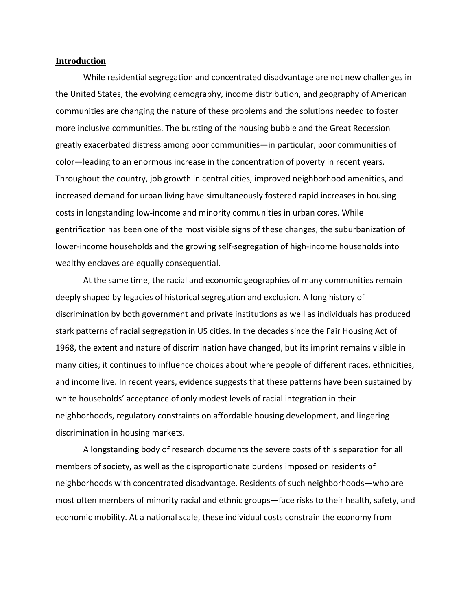#### **Introduction**

While residential segregation and concentrated disadvantage are not new challenges in the United States, the evolving demography, income distribution, and geography of American communities are changing the nature of these problems and the solutions needed to foster more inclusive communities. The bursting of the housing bubble and the Great Recession greatly exacerbated distress among poor communities—in particular, poor communities of color—leading to an enormous increase in the concentration of poverty in recent years. Throughout the country, job growth in central cities, improved neighborhood amenities, and increased demand for urban living have simultaneously fostered rapid increases in housing costs in longstanding low-income and minority communities in urban cores. While gentrification has been one of the most visible signs of these changes, the suburbanization of lower-income households and the growing self-segregation of high-income households into wealthy enclaves are equally consequential.

At the same time, the racial and economic geographies of many communities remain deeply shaped by legacies of historical segregation and exclusion. A long history of discrimination by both government and private institutions as well as individuals has produced stark patterns of racial segregation in US cities. In the decades since the Fair Housing Act of 1968, the extent and nature of discrimination have changed, but its imprint remains visible in many cities; it continues to influence choices about where people of different races, ethnicities, and income live. In recent years, evidence suggests that these patterns have been sustained by white households' acceptance of only modest levels of racial integration in their neighborhoods, regulatory constraints on affordable housing development, and lingering discrimination in housing markets.

A longstanding body of research documents the severe costs of this separation for all members of society, as well as the disproportionate burdens imposed on residents of neighborhoods with concentrated disadvantage. Residents of such neighborhoods—who are most often members of minority racial and ethnic groups—face risks to their health, safety, and economic mobility. At a national scale, these individual costs constrain the economy from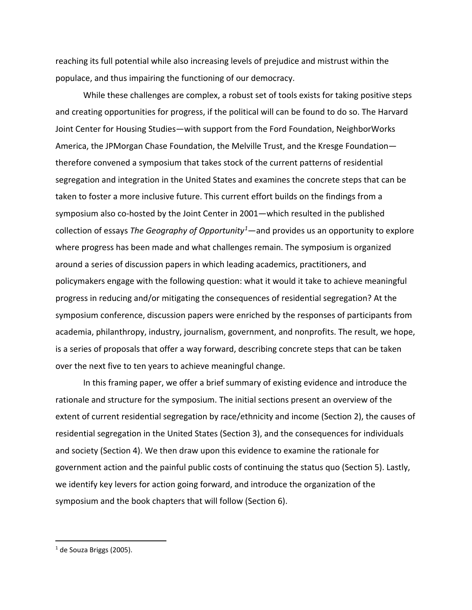reaching its full potential while also increasing levels of prejudice and mistrust within the populace, and thus impairing the functioning of our democracy.

While these challenges are complex, a robust set of tools exists for taking positive steps and creating opportunities for progress, if the political will can be found to do so. The Harvard Joint Center for Housing Studies—with support from the Ford Foundation, NeighborWorks America, the JPMorgan Chase Foundation, the Melville Trust, and the Kresge Foundation therefore convened a symposium that takes stock of the current patterns of residential segregation and integration in the United States and examines the concrete steps that can be taken to foster a more inclusive future. This current effort builds on the findings from a symposium also co-hosted by the Joint Center in 2001—which resulted in the published collection of essays *The Geography of Opportunity[1](#page-3-0)* —and provides us an opportunity to explore where progress has been made and what challenges remain. The symposium is organized around a series of discussion papers in which leading academics, practitioners, and policymakers engage with the following question: what it would it take to achieve meaningful progress in reducing and/or mitigating the consequences of residential segregation? At the symposium conference, discussion papers were enriched by the responses of participants from academia, philanthropy, industry, journalism, government, and nonprofits. The result, we hope, is a series of proposals that offer a way forward, describing concrete steps that can be taken over the next five to ten years to achieve meaningful change.

In this framing paper, we offer a brief summary of existing evidence and introduce the rationale and structure for the symposium. The initial sections present an overview of the extent of current residential segregation by race/ethnicity and income (Section 2), the causes of residential segregation in the United States (Section 3), and the consequences for individuals and society (Section 4). We then draw upon this evidence to examine the rationale for government action and the painful public costs of continuing the status quo (Section 5). Lastly, we identify key levers for action going forward, and introduce the organization of the symposium and the book chapters that will follow (Section 6).

<span id="page-3-0"></span> $1$  de Souza Briggs (2005).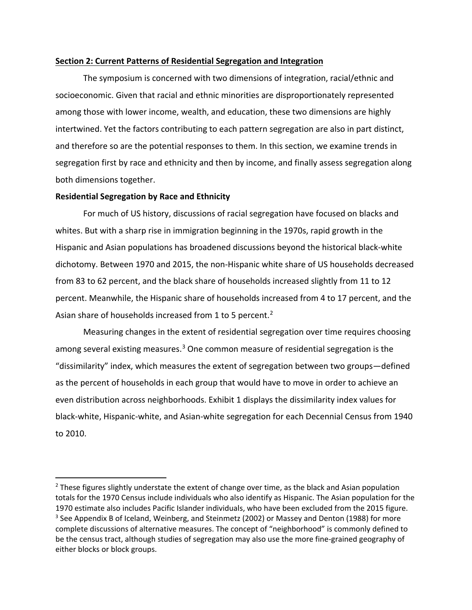#### **Section 2: Current Patterns of Residential Segregation and Integration**

The symposium is concerned with two dimensions of integration, racial/ethnic and socioeconomic. Given that racial and ethnic minorities are disproportionately represented among those with lower income, wealth, and education, these two dimensions are highly intertwined. Yet the factors contributing to each pattern segregation are also in part distinct, and therefore so are the potential responses to them. In this section, we examine trends in segregation first by race and ethnicity and then by income, and finally assess segregation along both dimensions together.

#### **Residential Segregation by Race and Ethnicity**

 $\overline{a}$ 

For much of US history, discussions of racial segregation have focused on blacks and whites. But with a sharp rise in immigration beginning in the 1970s, rapid growth in the Hispanic and Asian populations has broadened discussions beyond the historical black-white dichotomy. Between 1970 and 2015, the non-Hispanic white share of US households decreased from 83 to 62 percent, and the black share of households increased slightly from 11 to 12 percent. Meanwhile, the Hispanic share of households increased from 4 to 17 percent, and the Asian share of households increased from 1 to 5 percent.<sup>[2](#page-4-0)</sup>

Measuring changes in the extent of residential segregation over time requires choosing among several existing measures.<sup>[3](#page-4-1)</sup> One common measure of residential segregation is the "dissimilarity" index, which measures the extent of segregation between two groups—defined as the percent of households in each group that would have to move in order to achieve an even distribution across neighborhoods. Exhibit 1 displays the dissimilarity index values for black-white, Hispanic-white, and Asian-white segregation for each Decennial Census from 1940 to 2010.

<span id="page-4-1"></span><span id="page-4-0"></span> $<sup>2</sup>$  These figures slightly understate the extent of change over time, as the black and Asian population</sup> totals for the 1970 Census include individuals who also identify as Hispanic. The Asian population for the 1970 estimate also includes Pacific Islander individuals, who have been excluded from the 2015 figure.  $3$  See Appendix B of Iceland, Weinberg, and Steinmetz (2002) or Massey and Denton (1988) for more complete discussions of alternative measures. The concept of "neighborhood" is commonly defined to be the census tract, although studies of segregation may also use the more fine-grained geography of either blocks or block groups.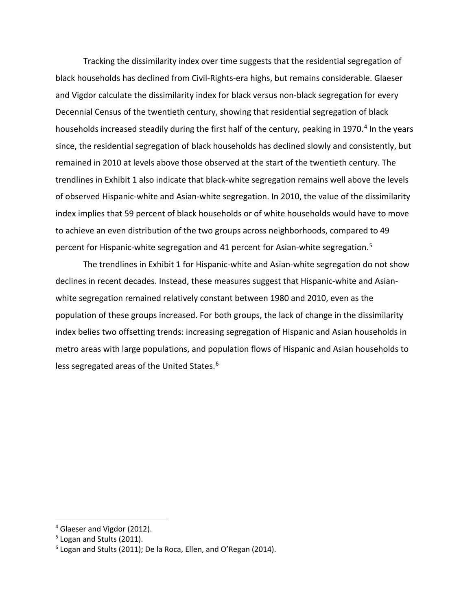Tracking the dissimilarity index over time suggests that the residential segregation of black households has declined from Civil-Rights-era highs, but remains considerable. Glaeser and Vigdor calculate the dissimilarity index for black versus non-black segregation for every Decennial Census of the twentieth century, showing that residential segregation of black households increased steadily during the first half of the century, peaking in 1970.<sup>[4](#page-5-0)</sup> In the years since, the residential segregation of black households has declined slowly and consistently, but remained in 2010 at levels above those observed at the start of the twentieth century. The trendlines in Exhibit 1 also indicate that black-white segregation remains well above the levels of observed Hispanic-white and Asian-white segregation. In 2010, the value of the dissimilarity index implies that 59 percent of black households or of white households would have to move to achieve an even distribution of the two groups across neighborhoods, compared to 49 percent for Hispanic-white segregation and 41 percent for Asian-white segregation. [5](#page-5-1)

The trendlines in Exhibit 1 for Hispanic-white and Asian-white segregation do not show declines in recent decades. Instead, these measures suggest that Hispanic-white and Asianwhite segregation remained relatively constant between 1980 and 2010, even as the population of these groups increased. For both groups, the lack of change in the dissimilarity index belies two offsetting trends: increasing segregation of Hispanic and Asian households in metro areas with large populations, and population flows of Hispanic and Asian households to less segregated areas of the United States.<sup>[6](#page-5-2)</sup>

<span id="page-5-0"></span><sup>&</sup>lt;sup>4</sup> Glaeser and Vigdor (2012).

<span id="page-5-1"></span><sup>&</sup>lt;sup>5</sup> Logan and Stults (2011).

<span id="page-5-2"></span> $6$  Logan and Stults (2011); De la Roca, Ellen, and O'Regan (2014).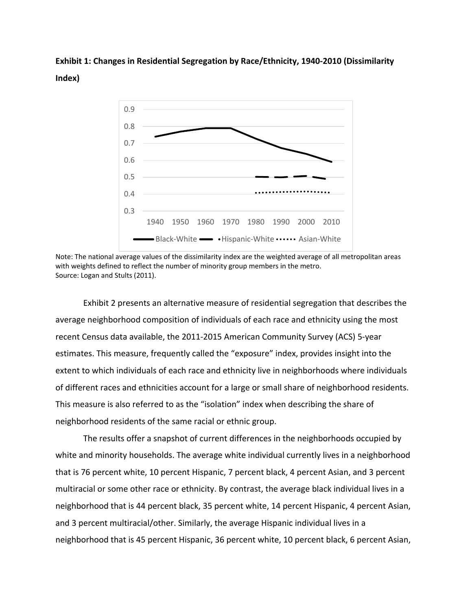**Exhibit 1: Changes in Residential Segregation by Race/Ethnicity, 1940-2010 (Dissimilarity Index)**



Note: The national average values of the dissimilarity index are the weighted average of all metropolitan areas with weights defined to reflect the number of minority group members in the metro. Source: Logan and Stults (2011).

Exhibit 2 presents an alternative measure of residential segregation that describes the average neighborhood composition of individuals of each race and ethnicity using the most recent Census data available, the 2011-2015 American Community Survey (ACS) 5-year estimates. This measure, frequently called the "exposure" index, provides insight into the extent to which individuals of each race and ethnicity live in neighborhoods where individuals of different races and ethnicities account for a large or small share of neighborhood residents. This measure is also referred to as the "isolation" index when describing the share of neighborhood residents of the same racial or ethnic group.

The results offer a snapshot of current differences in the neighborhoods occupied by white and minority households. The average white individual currently lives in a neighborhood that is 76 percent white, 10 percent Hispanic, 7 percent black, 4 percent Asian, and 3 percent multiracial or some other race or ethnicity. By contrast, the average black individual lives in a neighborhood that is 44 percent black, 35 percent white, 14 percent Hispanic, 4 percent Asian, and 3 percent multiracial/other. Similarly, the average Hispanic individual lives in a neighborhood that is 45 percent Hispanic, 36 percent white, 10 percent black, 6 percent Asian,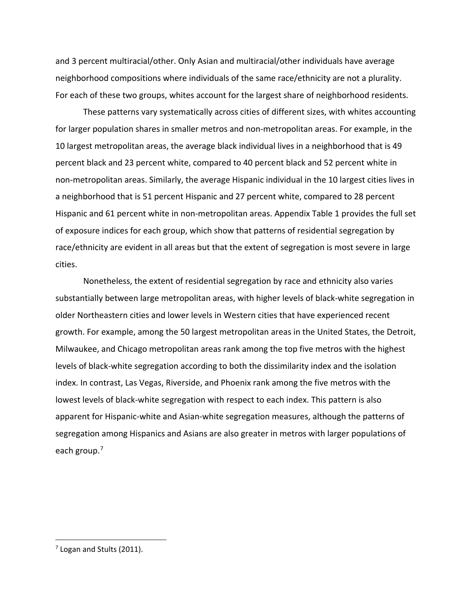and 3 percent multiracial/other. Only Asian and multiracial/other individuals have average neighborhood compositions where individuals of the same race/ethnicity are not a plurality. For each of these two groups, whites account for the largest share of neighborhood residents.

These patterns vary systematically across cities of different sizes, with whites accounting for larger population shares in smaller metros and non-metropolitan areas. For example, in the 10 largest metropolitan areas, the average black individual lives in a neighborhood that is 49 percent black and 23 percent white, compared to 40 percent black and 52 percent white in non-metropolitan areas. Similarly, the average Hispanic individual in the 10 largest cities lives in a neighborhood that is 51 percent Hispanic and 27 percent white, compared to 28 percent Hispanic and 61 percent white in non-metropolitan areas. Appendix Table 1 provides the full set of exposure indices for each group, which show that patterns of residential segregation by race/ethnicity are evident in all areas but that the extent of segregation is most severe in large cities.

Nonetheless, the extent of residential segregation by race and ethnicity also varies substantially between large metropolitan areas, with higher levels of black-white segregation in older Northeastern cities and lower levels in Western cities that have experienced recent growth. For example, among the 50 largest metropolitan areas in the United States, the Detroit, Milwaukee, and Chicago metropolitan areas rank among the top five metros with the highest levels of black-white segregation according to both the dissimilarity index and the isolation index. In contrast, Las Vegas, Riverside, and Phoenix rank among the five metros with the lowest levels of black-white segregation with respect to each index. This pattern is also apparent for Hispanic-white and Asian-white segregation measures, although the patterns of segregation among Hispanics and Asians are also greater in metros with larger populations of each group.<sup>[7](#page-7-0)</sup>

<span id="page-7-0"></span> $<sup>7</sup>$  Logan and Stults (2011).</sup>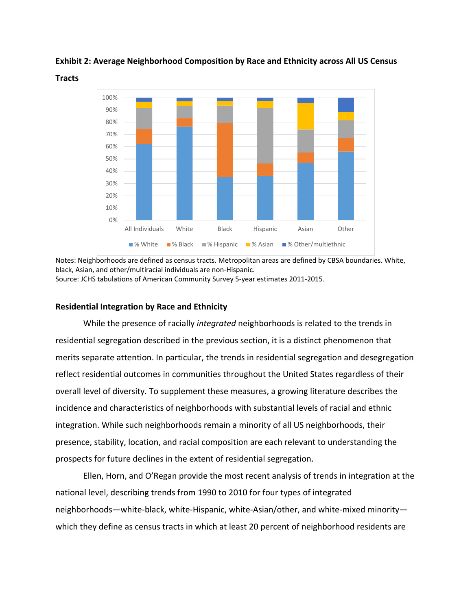

**Exhibit 2: Average Neighborhood Composition by Race and Ethnicity across All US Census** 

**Tracts**

Notes: Neighborhoods are defined as census tracts. Metropolitan areas are defined by CBSA boundaries. White, black, Asian, and other/multiracial individuals are non-Hispanic. Source: JCHS tabulations of American Community Survey 5-year estimates 2011-2015.

# **Residential Integration by Race and Ethnicity**

While the presence of racially *integrated* neighborhoods is related to the trends in residential segregation described in the previous section, it is a distinct phenomenon that merits separate attention. In particular, the trends in residential segregation and desegregation reflect residential outcomes in communities throughout the United States regardless of their overall level of diversity. To supplement these measures, a growing literature describes the incidence and characteristics of neighborhoods with substantial levels of racial and ethnic integration. While such neighborhoods remain a minority of all US neighborhoods, their presence, stability, location, and racial composition are each relevant to understanding the prospects for future declines in the extent of residential segregation.

Ellen, Horn, and O'Regan provide the most recent analysis of trends in integration at the national level, describing trends from 1990 to 2010 for four types of integrated neighborhoods—white-black, white-Hispanic, white-Asian/other, and white-mixed minority which they define as census tracts in which at least 20 percent of neighborhood residents are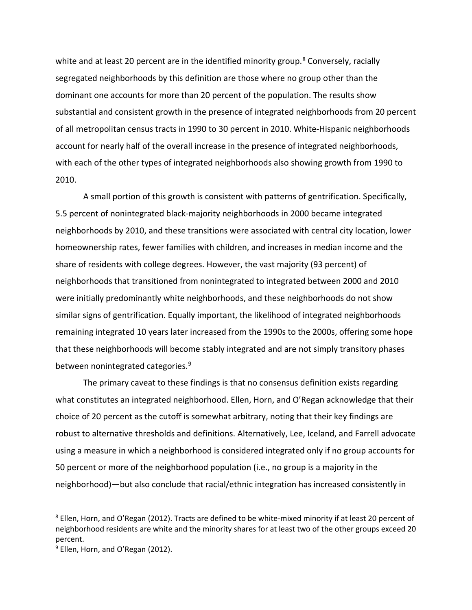white and at least 20 percent are in the identified minority group.<sup>[8](#page-9-0)</sup> Conversely, racially segregated neighborhoods by this definition are those where no group other than the dominant one accounts for more than 20 percent of the population. The results show substantial and consistent growth in the presence of integrated neighborhoods from 20 percent of all metropolitan census tracts in 1990 to 30 percent in 2010. White-Hispanic neighborhoods account for nearly half of the overall increase in the presence of integrated neighborhoods, with each of the other types of integrated neighborhoods also showing growth from 1990 to 2010.

A small portion of this growth is consistent with patterns of gentrification. Specifically, 5.5 percent of nonintegrated black-majority neighborhoods in 2000 became integrated neighborhoods by 2010, and these transitions were associated with central city location, lower homeownership rates, fewer families with children, and increases in median income and the share of residents with college degrees. However, the vast majority (93 percent) of neighborhoods that transitioned from nonintegrated to integrated between 2000 and 2010 were initially predominantly white neighborhoods, and these neighborhoods do not show similar signs of gentrification. Equally important, the likelihood of integrated neighborhoods remaining integrated 10 years later increased from the 1990s to the 2000s, offering some hope that these neighborhoods will become stably integrated and are not simply transitory phases between nonintegrated categories.<sup>[9](#page-9-1)</sup>

The primary caveat to these findings is that no consensus definition exists regarding what constitutes an integrated neighborhood. Ellen, Horn, and O'Regan acknowledge that their choice of 20 percent as the cutoff is somewhat arbitrary, noting that their key findings are robust to alternative thresholds and definitions. Alternatively, Lee, Iceland, and Farrell advocate using a measure in which a neighborhood is considered integrated only if no group accounts for 50 percent or more of the neighborhood population (i.e., no group is a majority in the neighborhood)—but also conclude that racial/ethnic integration has increased consistently in

<span id="page-9-0"></span><sup>8</sup> Ellen, Horn, and O'Regan (2012). Tracts are defined to be white-mixed minority if at least 20 percent of neighborhood residents are white and the minority shares for at least two of the other groups exceed 20 percent.

<span id="page-9-1"></span> $9$  Ellen, Horn, and O'Regan (2012).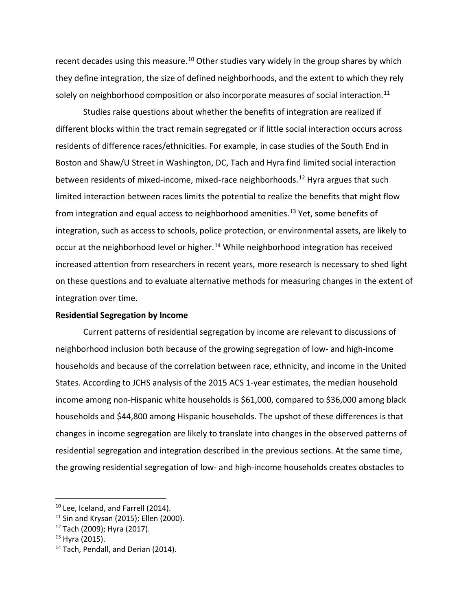recent decades using this measure.<sup>[10](#page-10-0)</sup> Other studies vary widely in the group shares by which they define integration, the size of defined neighborhoods, and the extent to which they rely solely on neighborhood composition or also incorporate measures of social interaction.<sup>[11](#page-10-1)</sup>

Studies raise questions about whether the benefits of integration are realized if different blocks within the tract remain segregated or if little social interaction occurs across residents of difference races/ethnicities. For example, in case studies of the South End in Boston and Shaw/U Street in Washington, DC, Tach and Hyra find limited social interaction between residents of mixed-income, mixed-race neighborhoods.<sup>[12](#page-10-2)</sup> Hyra argues that such limited interaction between races limits the potential to realize the benefits that might flow from integration and equal access to neighborhood amenities.<sup>[13](#page-10-3)</sup> Yet, some benefits of integration, such as access to schools, police protection, or environmental assets, are likely to occur at the neighborhood level or higher.<sup>[14](#page-10-4)</sup> While neighborhood integration has received increased attention from researchers in recent years, more research is necessary to shed light on these questions and to evaluate alternative methods for measuring changes in the extent of integration over time.

#### **Residential Segregation by Income**

Current patterns of residential segregation by income are relevant to discussions of neighborhood inclusion both because of the growing segregation of low- and high-income households and because of the correlation between race, ethnicity, and income in the United States. According to JCHS analysis of the 2015 ACS 1-year estimates, the median household income among non-Hispanic white households is \$61,000, compared to \$36,000 among black households and \$44,800 among Hispanic households. The upshot of these differences is that changes in income segregation are likely to translate into changes in the observed patterns of residential segregation and integration described in the previous sections. At the same time, the growing residential segregation of low- and high-income households creates obstacles to

<span id="page-10-0"></span><sup>&</sup>lt;sup>10</sup> Lee, Iceland, and Farrell (2014).

<span id="page-10-1"></span> $11$  Sin and Krysan (2015); Ellen (2000).

<span id="page-10-2"></span><sup>12</sup> Tach (2009); Hyra (2017).

<span id="page-10-3"></span> $13$  Hyra (2015).

<span id="page-10-4"></span><sup>&</sup>lt;sup>14</sup> Tach, Pendall, and Derian (2014).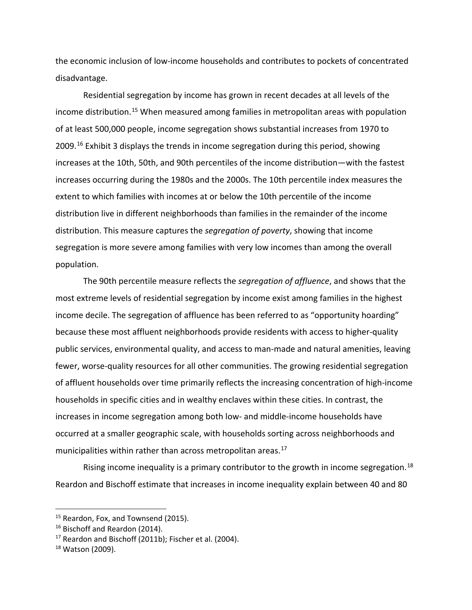the economic inclusion of low-income households and contributes to pockets of concentrated disadvantage.

Residential segregation by income has grown in recent decades at all levels of the income distribution.[15](#page-11-0) When measured among families in metropolitan areas with population of at least 500,000 people, income segregation shows substantial increases from 1970 to 2009. [16](#page-11-1) Exhibit 3 displays the trends in income segregation during this period, showing increases at the 10th, 50th, and 90th percentiles of the income distribution—with the fastest increases occurring during the 1980s and the 2000s. The 10th percentile index measures the extent to which families with incomes at or below the 10th percentile of the income distribution live in different neighborhoods than families in the remainder of the income distribution. This measure captures the *segregation of poverty*, showing that income segregation is more severe among families with very low incomes than among the overall population.

The 90th percentile measure reflects the *segregation of affluence*, and shows that the most extreme levels of residential segregation by income exist among families in the highest income decile. The segregation of affluence has been referred to as "opportunity hoarding" because these most affluent neighborhoods provide residents with access to higher-quality public services, environmental quality, and access to man-made and natural amenities, leaving fewer, worse-quality resources for all other communities. The growing residential segregation of affluent households over time primarily reflects the increasing concentration of high-income households in specific cities and in wealthy enclaves within these cities. In contrast, the increases in income segregation among both low- and middle-income households have occurred at a smaller geographic scale, with households sorting across neighborhoods and municipalities within rather than across metropolitan areas.<sup>[17](#page-11-2)</sup>

Rising income inequality is a primary contributor to the growth in income segregation.<sup>[18](#page-11-3)</sup> Reardon and Bischoff estimate that increases in income inequality explain between 40 and 80

<span id="page-11-0"></span><sup>&</sup>lt;sup>15</sup> Reardon, Fox, and Townsend (2015).

<span id="page-11-1"></span><sup>&</sup>lt;sup>16</sup> Bischoff and Reardon (2014).

<span id="page-11-2"></span><sup>&</sup>lt;sup>17</sup> Reardon and Bischoff (2011b); Fischer et al. (2004).

<span id="page-11-3"></span> $18$  Watson (2009).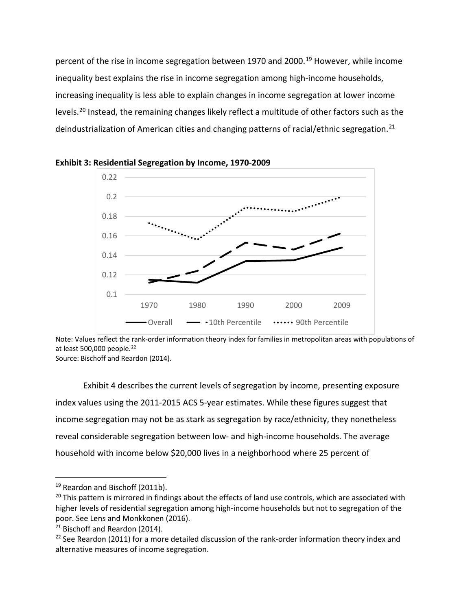percent of the rise in income segregation between [19](#page-12-0)70 and 2000.<sup>19</sup> However, while income inequality best explains the rise in income segregation among high-income households, increasing inequality is less able to explain changes in income segregation at lower income levels.[20](#page-12-1) Instead, the remaining changes likely reflect a multitude of other factors such as the deindustrialization of American cities and changing patterns of racial/ethnic segregation.<sup>[21](#page-12-2)</sup>





Note: Values reflect the rank-order information theory index for families in metropolitan areas with populations of at least 500,000 people.<sup>[22](#page-12-3)</sup>

Source: Bischoff and Reardon (2014).

Exhibit 4 describes the current levels of segregation by income, presenting exposure index values using the 2011-2015 ACS 5-year estimates. While these figures suggest that income segregation may not be as stark as segregation by race/ethnicity, they nonetheless reveal considerable segregation between low- and high-income households. The average household with income below \$20,000 lives in a neighborhood where 25 percent of

<span id="page-12-0"></span><sup>&</sup>lt;sup>19</sup> Reardon and Bischoff (2011b).

<span id="page-12-1"></span> $20$  This pattern is mirrored in findings about the effects of land use controls, which are associated with higher levels of residential segregation among high-income households but not to segregation of the poor. See Lens and Monkkonen (2016).

<span id="page-12-2"></span><sup>&</sup>lt;sup>21</sup> Bischoff and Reardon (2014).

<span id="page-12-3"></span> $22$  See Reardon (2011) for a more detailed discussion of the rank-order information theory index and alternative measures of income segregation.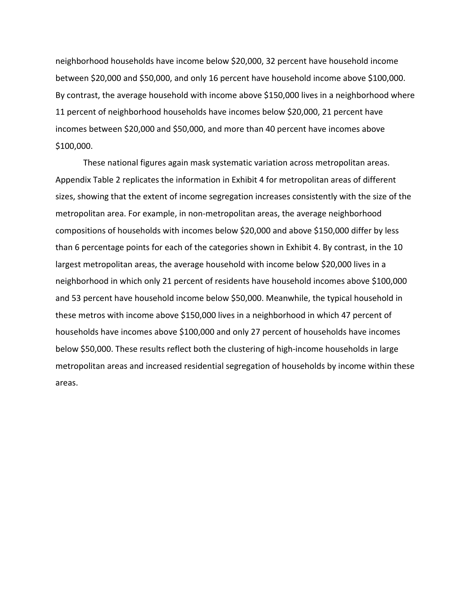neighborhood households have income below \$20,000, 32 percent have household income between \$20,000 and \$50,000, and only 16 percent have household income above \$100,000. By contrast, the average household with income above \$150,000 lives in a neighborhood where 11 percent of neighborhood households have incomes below \$20,000, 21 percent have incomes between \$20,000 and \$50,000, and more than 40 percent have incomes above \$100,000.

These national figures again mask systematic variation across metropolitan areas. Appendix Table 2 replicates the information in Exhibit 4 for metropolitan areas of different sizes, showing that the extent of income segregation increases consistently with the size of the metropolitan area. For example, in non-metropolitan areas, the average neighborhood compositions of households with incomes below \$20,000 and above \$150,000 differ by less than 6 percentage points for each of the categories shown in Exhibit 4. By contrast, in the 10 largest metropolitan areas, the average household with income below \$20,000 lives in a neighborhood in which only 21 percent of residents have household incomes above \$100,000 and 53 percent have household income below \$50,000. Meanwhile, the typical household in these metros with income above \$150,000 lives in a neighborhood in which 47 percent of households have incomes above \$100,000 and only 27 percent of households have incomes below \$50,000. These results reflect both the clustering of high-income households in large metropolitan areas and increased residential segregation of households by income within these areas.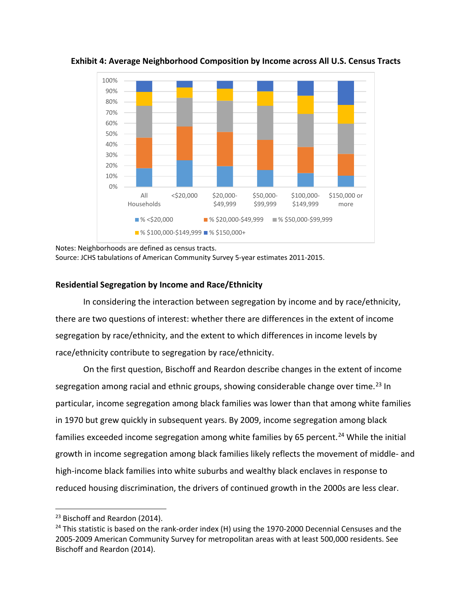

**Exhibit 4: Average Neighborhood Composition by Income across All U.S. Census Tracts**

Notes: Neighborhoods are defined as census tracts. Source: JCHS tabulations of American Community Survey 5-year estimates 2011-2015.

# **Residential Segregation by Income and Race/Ethnicity**

In considering the interaction between segregation by income and by race/ethnicity, there are two questions of interest: whether there are differences in the extent of income segregation by race/ethnicity, and the extent to which differences in income levels by race/ethnicity contribute to segregation by race/ethnicity.

On the first question, Bischoff and Reardon describe changes in the extent of income segregation among racial and ethnic groups, showing considerable change over time.<sup>[23](#page-14-0)</sup> In particular, income segregation among black families was lower than that among white families in 1970 but grew quickly in subsequent years. By 2009, income segregation among black families exceeded income segregation among white families by 65 percent.<sup>[24](#page-14-1)</sup> While the initial growth in income segregation among black families likely reflects the movement of middle- and high-income black families into white suburbs and wealthy black enclaves in response to reduced housing discrimination, the drivers of continued growth in the 2000s are less clear.

<span id="page-14-0"></span> $\overline{a}$ <sup>23</sup> Bischoff and Reardon (2014).

<span id="page-14-1"></span><sup>&</sup>lt;sup>24</sup> This statistic is based on the rank-order index (H) using the 1970-2000 Decennial Censuses and the 2005-2009 American Community Survey for metropolitan areas with at least 500,000 residents. See Bischoff and Reardon (2014).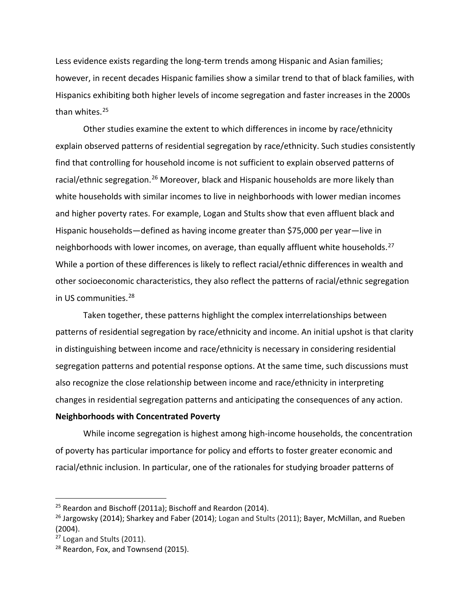Less evidence exists regarding the long-term trends among Hispanic and Asian families; however, in recent decades Hispanic families show a similar trend to that of black families, with Hispanics exhibiting both higher levels of income segregation and faster increases in the 2000s than whites. [25](#page-15-0)

Other studies examine the extent to which differences in income by race/ethnicity explain observed patterns of residential segregation by race/ethnicity. Such studies consistently find that controlling for household income is not sufficient to explain observed patterns of racial/ethnic segregation.<sup>[26](#page-15-1)</sup> Moreover, black and Hispanic households are more likely than white households with similar incomes to live in neighborhoods with lower median incomes and higher poverty rates. For example, Logan and Stults show that even affluent black and Hispanic households—defined as having income greater than \$75,000 per year—live in neighborhoods with lower incomes, on average, than equally affluent white households.<sup>[27](#page-15-2)</sup> While a portion of these differences is likely to reflect racial/ethnic differences in wealth and other socioeconomic characteristics, they also reflect the patterns of racial/ethnic segregation in US communities. [28](#page-15-3)

Taken together, these patterns highlight the complex interrelationships between patterns of residential segregation by race/ethnicity and income. An initial upshot is that clarity in distinguishing between income and race/ethnicity is necessary in considering residential segregation patterns and potential response options. At the same time, such discussions must also recognize the close relationship between income and race/ethnicity in interpreting changes in residential segregation patterns and anticipating the consequences of any action.

## **Neighborhoods with Concentrated Poverty**

While income segregation is highest among high-income households, the concentration of poverty has particular importance for policy and efforts to foster greater economic and racial/ethnic inclusion. In particular, one of the rationales for studying broader patterns of

<span id="page-15-0"></span> $25$  Reardon and Bischoff (2011a); Bischoff and Reardon (2014).

<span id="page-15-1"></span> $26$  Jargowsky (2014); Sharkey and Faber (2014); Logan and Stults (2011); Bayer, McMillan, and Rueben (2004).

<span id="page-15-2"></span><sup>&</sup>lt;sup>27</sup> Logan and Stults (2011).

<span id="page-15-3"></span><sup>&</sup>lt;sup>28</sup> Reardon, Fox, and Townsend (2015).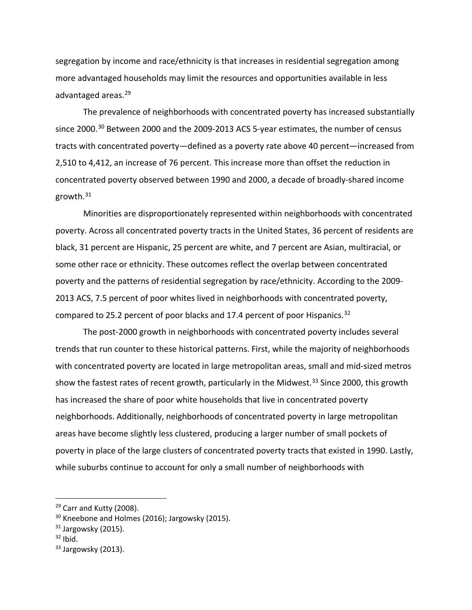segregation by income and race/ethnicity is that increases in residential segregation among more advantaged households may limit the resources and opportunities available in less advantaged areas. [29](#page-16-0)

The prevalence of neighborhoods with concentrated poverty has increased substantially since 2000.<sup>[30](#page-16-1)</sup> Between 2000 and the 2009-2013 ACS 5-year estimates, the number of census tracts with concentrated poverty—defined as a poverty rate above 40 percent—increased from 2,510 to 4,412, an increase of 76 percent. This increase more than offset the reduction in concentrated poverty observed between 1990 and 2000, a decade of broadly-shared income growth. [31](#page-16-2)

Minorities are disproportionately represented within neighborhoods with concentrated poverty. Across all concentrated poverty tracts in the United States, 36 percent of residents are black, 31 percent are Hispanic, 25 percent are white, and 7 percent are Asian, multiracial, or some other race or ethnicity. These outcomes reflect the overlap between concentrated poverty and the patterns of residential segregation by race/ethnicity. According to the 2009- 2013 ACS, 7.5 percent of poor whites lived in neighborhoods with concentrated poverty, compared to 25.2 percent of poor blacks and 17.4 percent of poor Hispanics.<sup>[32](#page-16-3)</sup>

The post-2000 growth in neighborhoods with concentrated poverty includes several trends that run counter to these historical patterns. First, while the majority of neighborhoods with concentrated poverty are located in large metropolitan areas, small and mid-sized metros show the fastest rates of recent growth, particularly in the Midwest.<sup>[33](#page-16-4)</sup> Since 2000, this growth has increased the share of poor white households that live in concentrated poverty neighborhoods. Additionally, neighborhoods of concentrated poverty in large metropolitan areas have become slightly less clustered, producing a larger number of small pockets of poverty in place of the large clusters of concentrated poverty tracts that existed in 1990. Lastly, while suburbs continue to account for only a small number of neighborhoods with

<span id="page-16-3"></span> $32$  Ibid.

<span id="page-16-0"></span><sup>&</sup>lt;sup>29</sup> Carr and Kutty (2008).

<span id="page-16-1"></span><sup>&</sup>lt;sup>30</sup> Kneebone and Holmes (2016); Jargowsky (2015).

<span id="page-16-2"></span> $31$  Jargowsky (2015).

<span id="page-16-4"></span> $33$  Jargowsky (2013).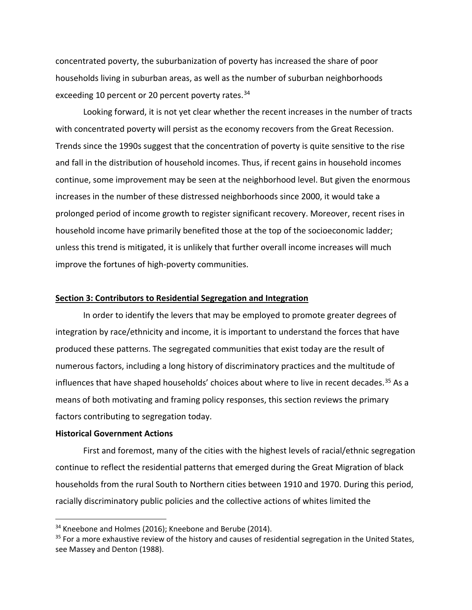concentrated poverty, the suburbanization of poverty has increased the share of poor households living in suburban areas, as well as the number of suburban neighborhoods exceeding 10 percent or 20 percent poverty rates.<sup>[34](#page-17-0)</sup>

Looking forward, it is not yet clear whether the recent increases in the number of tracts with concentrated poverty will persist as the economy recovers from the Great Recession. Trends since the 1990s suggest that the concentration of poverty is quite sensitive to the rise and fall in the distribution of household incomes. Thus, if recent gains in household incomes continue, some improvement may be seen at the neighborhood level. But given the enormous increases in the number of these distressed neighborhoods since 2000, it would take a prolonged period of income growth to register significant recovery. Moreover, recent rises in household income have primarily benefited those at the top of the socioeconomic ladder; unless this trend is mitigated, it is unlikely that further overall income increases will much improve the fortunes of high-poverty communities.

### **Section 3: Contributors to Residential Segregation and Integration**

In order to identify the levers that may be employed to promote greater degrees of integration by race/ethnicity and income, it is important to understand the forces that have produced these patterns. The segregated communities that exist today are the result of numerous factors, including a long history of discriminatory practices and the multitude of influences that have shaped households' choices about where to live in recent decades.<sup>[35](#page-17-1)</sup> As a means of both motivating and framing policy responses, this section reviews the primary factors contributing to segregation today.

# **Historical Government Actions**

 $\overline{a}$ 

First and foremost, many of the cities with the highest levels of racial/ethnic segregation continue to reflect the residential patterns that emerged during the Great Migration of black households from the rural South to Northern cities between 1910 and 1970. During this period, racially discriminatory public policies and the collective actions of whites limited the

<span id="page-17-0"></span><sup>&</sup>lt;sup>34</sup> Kneebone and Holmes (2016); Kneebone and Berube (2014).

<span id="page-17-1"></span><sup>&</sup>lt;sup>35</sup> For a more exhaustive review of the history and causes of residential segregation in the United States, see Massey and Denton (1988).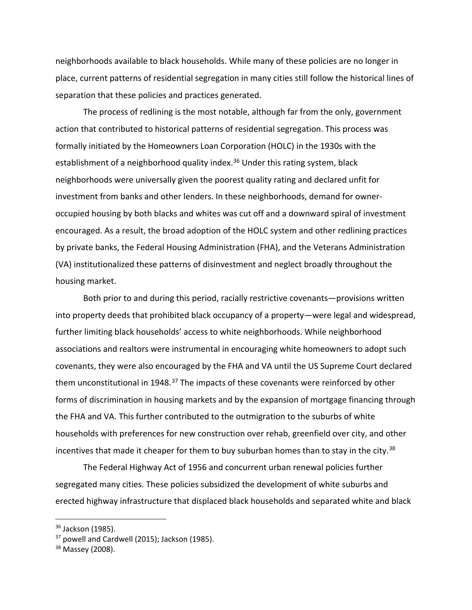neighborhoods available to black households. While many of these policies are no longer in place, current patterns of residential segregation in many cities still follow the historical lines of separation that these policies and practices generated.

The process of redlining is the most notable, although far from the only, government action that contributed to historical patterns of residential segregation. This process was formally initiated by the Homeowners Loan Corporation (HOLC) in the 1930s with the establishment of a neighborhood quality index.<sup>[36](#page-18-0)</sup> Under this rating system, black neighborhoods were universally given the poorest quality rating and declared unfit for investment from banks and other lenders. In these neighborhoods, demand for owneroccupied housing by both blacks and whites was cut off and a downward spiral of investment encouraged. As a result, the broad adoption of the HOLC system and other redlining practices by private banks, the Federal Housing Administration (FHA), and the Veterans Administration (VA) institutionalized these patterns of disinvestment and neglect broadly throughout the housing market.

Both prior to and during this period, racially restrictive covenants—provisions written into property deeds that prohibited black occupancy of a property—were legal and widespread, further limiting black households' access to white neighborhoods. While neighborhood associations and realtors were instrumental in encouraging white homeowners to adopt such covenants, they were also encouraged by the FHA and VA until the US Supreme Court declared them unconstitutional in 1948.<sup>[37](#page-18-1)</sup> The impacts of these covenants were reinforced by other forms of discrimination in housing markets and by the expansion of mortgage financing through the FHA and VA. This further contributed to the outmigration to the suburbs of white households with preferences for new construction over rehab, greenfield over city, and other incentives that made it cheaper for them to buy suburban homes than to stay in the city.<sup>[38](#page-18-2)</sup>

The Federal Highway Act of 1956 and concurrent urban renewal policies further segregated many cities. These policies subsidized the development of white suburbs and erected highway infrastructure that displaced black households and separated white and black

<span id="page-18-0"></span><sup>&</sup>lt;sup>36</sup> Jackson (1985).

<span id="page-18-1"></span><sup>&</sup>lt;sup>37</sup> powell and Cardwell (2015); Jackson (1985).

<span id="page-18-2"></span><sup>&</sup>lt;sup>38</sup> Massey (2008).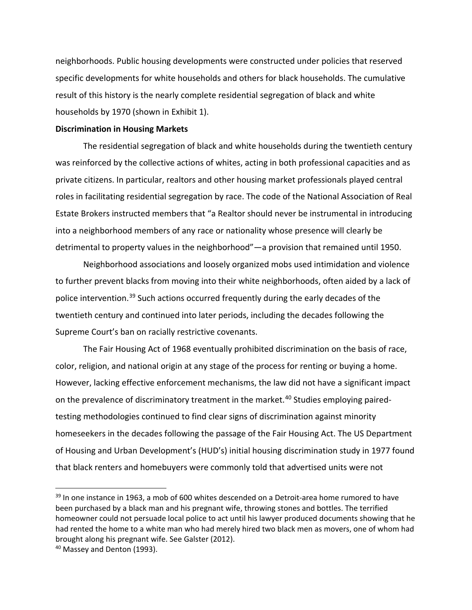neighborhoods. Public housing developments were constructed under policies that reserved specific developments for white households and others for black households. The cumulative result of this history is the nearly complete residential segregation of black and white households by 1970 (shown in Exhibit 1).

#### **Discrimination in Housing Markets**

The residential segregation of black and white households during the twentieth century was reinforced by the collective actions of whites, acting in both professional capacities and as private citizens. In particular, realtors and other housing market professionals played central roles in facilitating residential segregation by race. The code of the National Association of Real Estate Brokers instructed members that "a Realtor should never be instrumental in introducing into a neighborhood members of any race or nationality whose presence will clearly be detrimental to property values in the neighborhood"—a provision that remained until 1950.

Neighborhood associations and loosely organized mobs used intimidation and violence to further prevent blacks from moving into their white neighborhoods, often aided by a lack of police intervention.<sup>[39](#page-19-0)</sup> Such actions occurred frequently during the early decades of the twentieth century and continued into later periods, including the decades following the Supreme Court's ban on racially restrictive covenants.

The Fair Housing Act of 1968 eventually prohibited discrimination on the basis of race, color, religion, and national origin at any stage of the process for renting or buying a home. However, lacking effective enforcement mechanisms, the law did not have a significant impact on the prevalence of discriminatory treatment in the market.<sup>[40](#page-19-1)</sup> Studies employing pairedtesting methodologies continued to find clear signs of discrimination against minority homeseekers in the decades following the passage of the Fair Housing Act. The US Department of Housing and Urban Development's (HUD's) initial housing discrimination study in 1977 found that black renters and homebuyers were commonly told that advertised units were not

<span id="page-19-0"></span><sup>&</sup>lt;sup>39</sup> In one instance in 1963, a mob of 600 whites descended on a Detroit-area home rumored to have been purchased by a black man and his pregnant wife, throwing stones and bottles. The terrified homeowner could not persuade local police to act until his lawyer produced documents showing that he had rented the home to a white man who had merely hired two black men as movers, one of whom had brought along his pregnant wife. See Galster (2012).

<span id="page-19-1"></span><sup>&</sup>lt;sup>40</sup> Massey and Denton (1993).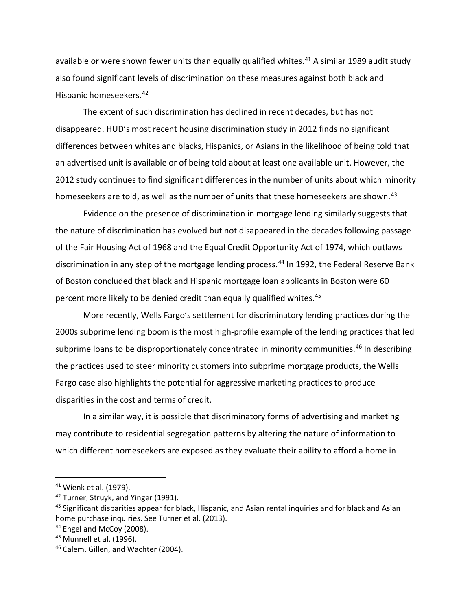available or were shown fewer units than equally qualified whites. [41](#page-20-0) A similar 1989 audit study also found significant levels of discrimination on these measures against both black and Hispanic homeseekers. [42](#page-20-1)

The extent of such discrimination has declined in recent decades, but has not disappeared. HUD's most recent housing discrimination study in 2012 finds no significant differences between whites and blacks, Hispanics, or Asians in the likelihood of being told that an advertised unit is available or of being told about at least one available unit. However, the 2012 study continues to find significant differences in the number of units about which minority homeseekers are told, as well as the number of units that these homeseekers are shown.<sup>[43](#page-20-2)</sup>

Evidence on the presence of discrimination in mortgage lending similarly suggests that the nature of discrimination has evolved but not disappeared in the decades following passage of the Fair Housing Act of 1968 and the Equal Credit Opportunity Act of 1974, which outlaws discrimination in any step of the mortgage lending process.<sup>[44](#page-20-3)</sup> In 1992, the Federal Reserve Bank of Boston concluded that black and Hispanic mortgage loan applicants in Boston were 60 percent more likely to be denied credit than equally qualified whites.<sup>[45](#page-20-4)</sup>

More recently, Wells Fargo's settlement for discriminatory lending practices during the 2000s subprime lending boom is the most high-profile example of the lending practices that led subprime loans to be disproportionately concentrated in minority communities.<sup>[46](#page-20-5)</sup> In describing the practices used to steer minority customers into subprime mortgage products, the Wells Fargo case also highlights the potential for aggressive marketing practices to produce disparities in the cost and terms of credit.

In a similar way, it is possible that discriminatory forms of advertising and marketing may contribute to residential segregation patterns by altering the nature of information to which different homeseekers are exposed as they evaluate their ability to afford a home in

<span id="page-20-0"></span><sup>41</sup> Wienk et al. (1979).

<span id="page-20-1"></span><sup>&</sup>lt;sup>42</sup> Turner, Struyk, and Yinger (1991).

<span id="page-20-2"></span><sup>&</sup>lt;sup>43</sup> Significant disparities appear for black, Hispanic, and Asian rental inquiries and for black and Asian home purchase inquiries. See Turner et al. (2013).

<span id="page-20-3"></span><sup>&</sup>lt;sup>44</sup> Engel and McCoy (2008).

<span id="page-20-4"></span><sup>45</sup> Munnell et al. (1996).

<span id="page-20-5"></span><sup>&</sup>lt;sup>46</sup> Calem, Gillen, and Wachter (2004).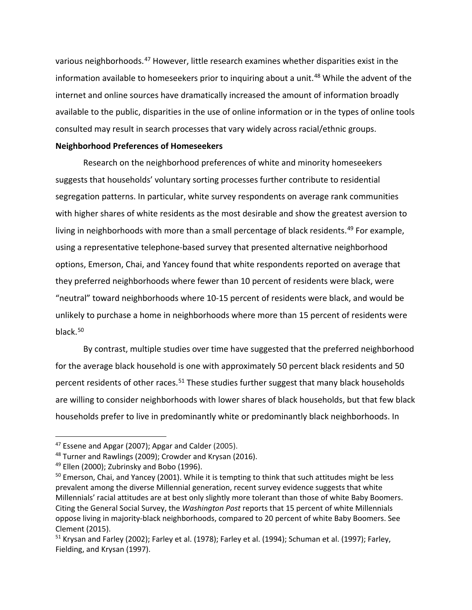various neighborhoods. [47](#page-21-0) However, little research examines whether disparities exist in the information available to homeseekers prior to inquiring about a unit. [48](#page-21-1) While the advent of the internet and online sources have dramatically increased the amount of information broadly available to the public, disparities in the use of online information or in the types of online tools consulted may result in search processes that vary widely across racial/ethnic groups.

## **Neighborhood Preferences of Homeseekers**

Research on the neighborhood preferences of white and minority homeseekers suggests that households' voluntary sorting processes further contribute to residential segregation patterns. In particular, white survey respondents on average rank communities with higher shares of white residents as the most desirable and show the greatest aversion to living in neighborhoods with more than a small percentage of black residents.<sup>[49](#page-21-2)</sup> For example, using a representative telephone-based survey that presented alternative neighborhood options, Emerson, Chai, and Yancey found that white respondents reported on average that they preferred neighborhoods where fewer than 10 percent of residents were black, were "neutral" toward neighborhoods where 10-15 percent of residents were black, and would be unlikely to purchase a home in neighborhoods where more than 15 percent of residents were black.[50](#page-21-3)

By contrast, multiple studies over time have suggested that the preferred neighborhood for the average black household is one with approximately 50 percent black residents and 50 percent residents of other races.<sup>[51](#page-21-4)</sup> These studies further suggest that many black households are willing to consider neighborhoods with lower shares of black households, but that few black households prefer to live in predominantly white or predominantly black neighborhoods. In

<span id="page-21-0"></span><sup>&</sup>lt;sup>47</sup> Essene and Apgar (2007); Apgar and Calder (2005).

<span id="page-21-1"></span><sup>&</sup>lt;sup>48</sup> Turner and Rawlings (2009); Crowder and Krysan (2016).

<span id="page-21-2"></span> $49$  Ellen (2000); Zubrinsky and Bobo (1996).

<span id="page-21-3"></span><sup>&</sup>lt;sup>50</sup> Emerson, Chai, and Yancey (2001). While it is tempting to think that such attitudes might be less prevalent among the diverse Millennial generation, recent survey evidence suggests that white Millennials' racial attitudes are at best only slightly more tolerant than those of white Baby Boomers. Citing the General Social Survey, the *Washington Post* reports that 15 percent of white Millennials oppose living in majority-black neighborhoods, compared to 20 percent of white Baby Boomers. See Clement (2015).

<span id="page-21-4"></span> $51$  Krysan and Farley (2002); Farley et al. (1978); Farley et al. (1994); Schuman et al. (1997); Farley, Fielding, and Krysan (1997).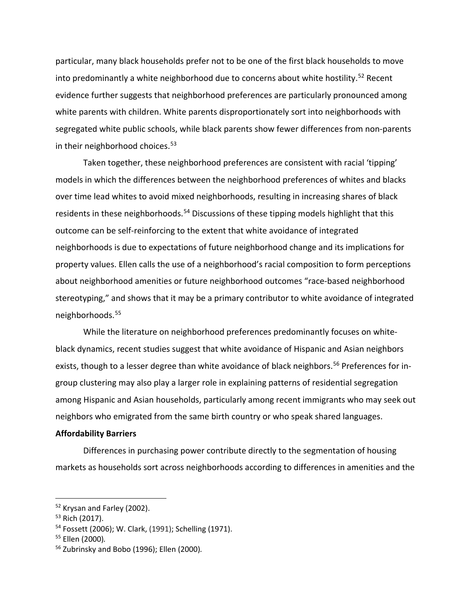particular, many black households prefer not to be one of the first black households to move into predominantly a white neighborhood due to concerns about white hostility.<sup>[52](#page-22-0)</sup> Recent evidence further suggests that neighborhood preferences are particularly pronounced among white parents with children. White parents disproportionately sort into neighborhoods with segregated white public schools, while black parents show fewer differences from non-parents in their neighborhood choices.<sup>[53](#page-22-1)</sup>

Taken together, these neighborhood preferences are consistent with racial 'tipping' models in which the differences between the neighborhood preferences of whites and blacks over time lead whites to avoid mixed neighborhoods, resulting in increasing shares of black residents in these neighborhoods.<sup>[54](#page-22-2)</sup> Discussions of these tipping models highlight that this outcome can be self-reinforcing to the extent that white avoidance of integrated neighborhoods is due to expectations of future neighborhood change and its implications for property values. Ellen calls the use of a neighborhood's racial composition to form perceptions about neighborhood amenities or future neighborhood outcomes "race-based neighborhood stereotyping," and shows that it may be a primary contributor to white avoidance of integrated neighborhoods.[55](#page-22-3)

While the literature on neighborhood preferences predominantly focuses on whiteblack dynamics, recent studies suggest that white avoidance of Hispanic and Asian neighbors exists, though to a lesser degree than white avoidance of black neighbors.<sup>[56](#page-22-4)</sup> Preferences for ingroup clustering may also play a larger role in explaining patterns of residential segregation among Hispanic and Asian households, particularly among recent immigrants who may seek out neighbors who emigrated from the same birth country or who speak shared languages.

# **Affordability Barriers**

Differences in purchasing power contribute directly to the segmentation of housing markets as households sort across neighborhoods according to differences in amenities and the

<span id="page-22-0"></span><sup>52</sup> Krysan and Farley (2002).

<span id="page-22-1"></span><sup>53</sup> Rich (2017).

<span id="page-22-2"></span><sup>54</sup> Fossett (2006); W. Clark, (1991); Schelling (1971).

<span id="page-22-3"></span><sup>55</sup> Ellen (2000)*.*

<span id="page-22-4"></span><sup>56</sup> Zubrinsky and Bobo (1996); Ellen (2000)*.*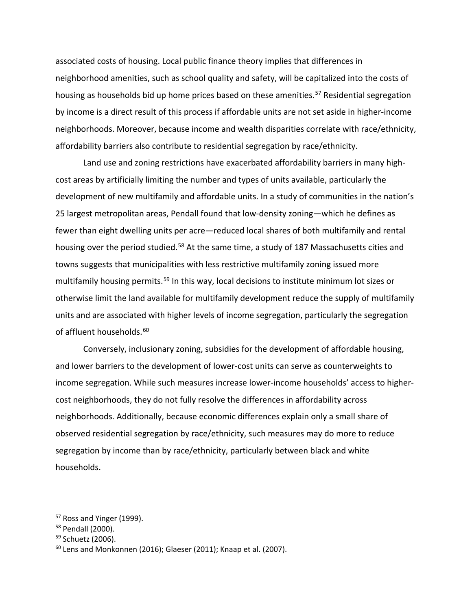associated costs of housing. Local public finance theory implies that differences in neighborhood amenities, such as school quality and safety, will be capitalized into the costs of housing as households bid up home prices based on these amenities. [57](#page-23-0) Residential segregation by income is a direct result of this process if affordable units are not set aside in higher-income neighborhoods. Moreover, because income and wealth disparities correlate with race/ethnicity, affordability barriers also contribute to residential segregation by race/ethnicity.

Land use and zoning restrictions have exacerbated affordability barriers in many highcost areas by artificially limiting the number and types of units available, particularly the development of new multifamily and affordable units. In a study of communities in the nation's 25 largest metropolitan areas, Pendall found that low-density zoning—which he defines as fewer than eight dwelling units per acre—reduced local shares of both multifamily and rental housing over the period studied.<sup>[58](#page-23-1)</sup> At the same time, a study of 187 Massachusetts cities and towns suggests that municipalities with less restrictive multifamily zoning issued more multifamily housing permits.<sup>[59](#page-23-2)</sup> In this way, local decisions to institute minimum lot sizes or otherwise limit the land available for multifamily development reduce the supply of multifamily units and are associated with higher levels of income segregation, particularly the segregation of affluent households.<sup>[60](#page-23-3)</sup>

Conversely, inclusionary zoning, subsidies for the development of affordable housing, and lower barriers to the development of lower-cost units can serve as counterweights to income segregation. While such measures increase lower-income households' access to highercost neighborhoods, they do not fully resolve the differences in affordability across neighborhoods. Additionally, because economic differences explain only a small share of observed residential segregation by race/ethnicity, such measures may do more to reduce segregation by income than by race/ethnicity, particularly between black and white households.

<span id="page-23-0"></span><sup>&</sup>lt;sup>57</sup> Ross and Yinger (1999).

<span id="page-23-1"></span><sup>58</sup> Pendall (2000).

<span id="page-23-2"></span><sup>&</sup>lt;sup>59</sup> Schuetz (2006).

<span id="page-23-3"></span> $60$  Lens and Monkonnen (2016); Glaeser (2011); Knaap et al. (2007).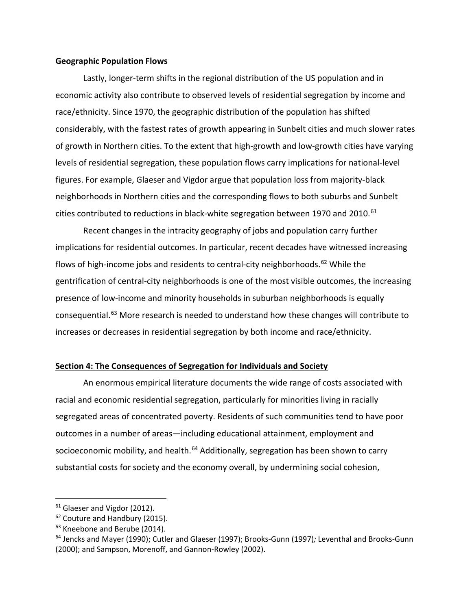#### **Geographic Population Flows**

Lastly, longer-term shifts in the regional distribution of the US population and in economic activity also contribute to observed levels of residential segregation by income and race/ethnicity. Since 1970, the geographic distribution of the population has shifted considerably, with the fastest rates of growth appearing in Sunbelt cities and much slower rates of growth in Northern cities. To the extent that high-growth and low-growth cities have varying levels of residential segregation, these population flows carry implications for national-level figures. For example, Glaeser and Vigdor argue that population loss from majority-black neighborhoods in Northern cities and the corresponding flows to both suburbs and Sunbelt cities contributed to reductions in black-white segregation between 1970 and 2010. $61$ 

Recent changes in the intracity geography of jobs and population carry further implications for residential outcomes. In particular, recent decades have witnessed increasing flows of high-income jobs and residents to central-city neighborhoods.<sup>[62](#page-24-1)</sup> While the gentrification of central-city neighborhoods is one of the most visible outcomes, the increasing presence of low-income and minority households in suburban neighborhoods is equally consequential.[63](#page-24-2) More research is needed to understand how these changes will contribute to increases or decreases in residential segregation by both income and race/ethnicity.

## **Section 4: The Consequences of Segregation for Individuals and Society**

An enormous empirical literature documents the wide range of costs associated with racial and economic residential segregation, particularly for minorities living in racially segregated areas of concentrated poverty. Residents of such communities tend to have poor outcomes in a number of areas—including educational attainment, employment and socioeconomic mobility, and health.<sup>[64](#page-24-3)</sup> Additionally, segregation has been shown to carry substantial costs for society and the economy overall, by undermining social cohesion,

<span id="page-24-0"></span> $61$  Glaeser and Vigdor (2012).

<span id="page-24-1"></span><sup>&</sup>lt;sup>62</sup> Couture and Handbury (2015).

<span id="page-24-2"></span><sup>&</sup>lt;sup>63</sup> Kneebone and Berube (2014).

<span id="page-24-3"></span><sup>64</sup> Jencks and Mayer (1990); Cutler and Glaeser (1997); Brooks-Gunn (1997)*;* Leventhal and Brooks-Gunn (2000); and Sampson, Morenoff, and Gannon-Rowley (2002).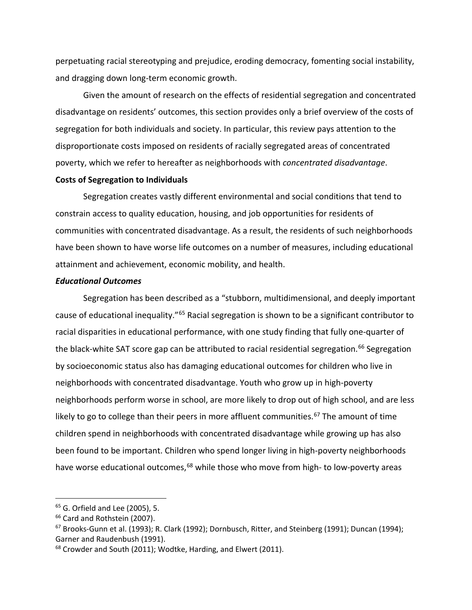perpetuating racial stereotyping and prejudice, eroding democracy, fomenting social instability, and dragging down long-term economic growth.

Given the amount of research on the effects of residential segregation and concentrated disadvantage on residents' outcomes, this section provides only a brief overview of the costs of segregation for both individuals and society. In particular, this review pays attention to the disproportionate costs imposed on residents of racially segregated areas of concentrated poverty, which we refer to hereafter as neighborhoods with *concentrated disadvantage*.

## **Costs of Segregation to Individuals**

Segregation creates vastly different environmental and social conditions that tend to constrain access to quality education, housing, and job opportunities for residents of communities with concentrated disadvantage. As a result, the residents of such neighborhoods have been shown to have worse life outcomes on a number of measures, including educational attainment and achievement, economic mobility, and health.

# *Educational Outcomes*

Segregation has been described as a "stubborn, multidimensional, and deeply important cause of educational inequality."[65](#page-25-0) Racial segregation is shown to be a significant contributor to racial disparities in educational performance, with one study finding that fully one-quarter of the black-white SAT score gap can be attributed to racial residential segregation.<sup>[66](#page-25-1)</sup> Segregation by socioeconomic status also has damaging educational outcomes for children who live in neighborhoods with concentrated disadvantage. Youth who grow up in high-poverty neighborhoods perform worse in school, are more likely to drop out of high school, and are less likely to go to college than their peers in more affluent communities.<sup>[67](#page-25-2)</sup> The amount of time children spend in neighborhoods with concentrated disadvantage while growing up has also been found to be important. Children who spend longer living in high-poverty neighborhoods have worse educational outcomes,<sup>[68](#page-25-3)</sup> while those who move from high- to low-poverty areas

<span id="page-25-0"></span><sup>&</sup>lt;sup>65</sup> G. Orfield and Lee (2005), 5.

<span id="page-25-1"></span><sup>&</sup>lt;sup>66</sup> Card and Rothstein (2007).

<span id="page-25-2"></span><sup>&</sup>lt;sup>67</sup> Brooks-Gunn et al. (1993); R. Clark (1992); Dornbusch, Ritter, and Steinberg (1991); Duncan (1994); Garner and Raudenbush (1991).

<span id="page-25-3"></span><sup>&</sup>lt;sup>68</sup> Crowder and South (2011); Wodtke, Harding, and Elwert (2011).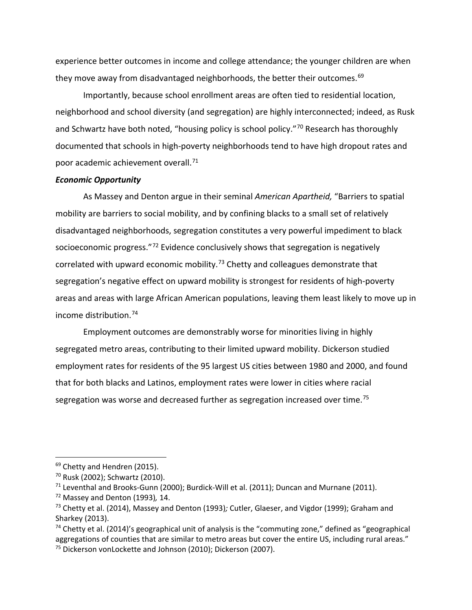experience better outcomes in income and college attendance; the younger children are when they move away from disadvantaged neighborhoods, the better their outcomes.<sup>[69](#page-26-0)</sup>

Importantly, because school enrollment areas are often tied to residential location, neighborhood and school diversity (and segregation) are highly interconnected; indeed, as Rusk and Schwartz have both noted, "housing policy is school policy."<sup>[70](#page-26-1)</sup> Research has thoroughly documented that schools in high-poverty neighborhoods tend to have high dropout rates and poor academic achievement overall. [71](#page-26-2)

# *Economic Opportunity*

As Massey and Denton argue in their seminal *American Apartheid,* "Barriers to spatial mobility are barriers to social mobility, and by confining blacks to a small set of relatively disadvantaged neighborhoods, segregation constitutes a very powerful impediment to black socioeconomic progress."[72](#page-26-3) Evidence conclusively shows that segregation is negatively correlated with upward economic mobility.<sup>[73](#page-26-4)</sup> Chetty and colleagues demonstrate that segregation's negative effect on upward mobility is strongest for residents of high-poverty areas and areas with large African American populations, leaving them least likely to move up in income distribution.[74](#page-26-5)

Employment outcomes are demonstrably worse for minorities living in highly segregated metro areas, contributing to their limited upward mobility. Dickerson studied employment rates for residents of the 95 largest US cities between 1980 and 2000, and found that for both blacks and Latinos, employment rates were lower in cities where racial segregation was worse and decreased further as segregation increased over time.<sup>[75](#page-26-6)</sup>

<span id="page-26-0"></span><sup>&</sup>lt;sup>69</sup> Chetty and Hendren (2015).

<span id="page-26-1"></span><sup>70</sup> Rusk (2002); Schwartz (2010).

<span id="page-26-2"></span> $71$  Leventhal and Brooks-Gunn (2000); Burdick-Will et al. (2011); Duncan and Murnane (2011).

<span id="page-26-3"></span><sup>72</sup> Massey and Denton (1993)*,* 14.

<span id="page-26-4"></span><sup>73</sup> Chetty et al. (2014), Massey and Denton (1993)*;* Cutler, Glaeser, and Vigdor (1999); Graham and Sharkey (2013).

<span id="page-26-6"></span><span id="page-26-5"></span> $74$  Chetty et al. (2014)'s geographical unit of analysis is the "commuting zone," defined as "geographical aggregations of counties that are similar to metro areas but cover the entire US, including rural areas." <sup>75</sup> Dickerson vonLockette and Johnson (2010); Dickerson (2007).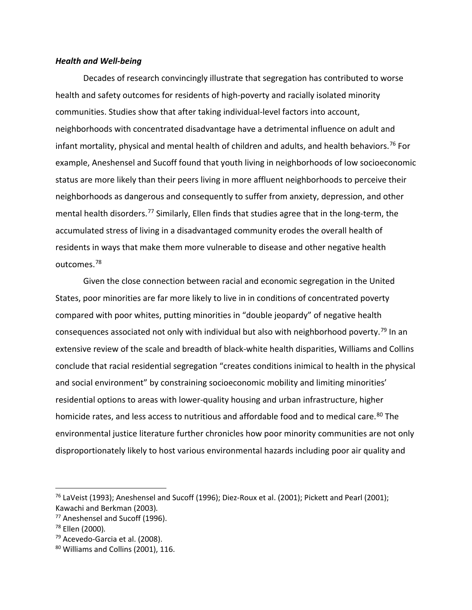#### *Health and Well-being*

Decades of research convincingly illustrate that segregation has contributed to worse health and safety outcomes for residents of high-poverty and racially isolated minority communities. Studies show that after taking individual-level factors into account, neighborhoods with concentrated disadvantage have a detrimental influence on adult and infant mortality, physical and mental health of children and adults, and health behaviors.<sup>[76](#page-27-0)</sup> For example, Aneshensel and Sucoff found that youth living in neighborhoods of low socioeconomic status are more likely than their peers living in more affluent neighborhoods to perceive their neighborhoods as dangerous and consequently to suffer from anxiety, depression, and other mental health disorders.<sup>[77](#page-27-1)</sup> Similarly, Ellen finds that studies agree that in the long-term, the accumulated stress of living in a disadvantaged community erodes the overall health of residents in ways that make them more vulnerable to disease and other negative health outcomes.[78](#page-27-2)

Given the close connection between racial and economic segregation in the United States, poor minorities are far more likely to live in in conditions of concentrated poverty compared with poor whites, putting minorities in "double jeopardy" of negative health consequences associated not only with individual but also with neighborhood poverty.<sup>[79](#page-27-3)</sup> In an extensive review of the scale and breadth of black-white health disparities, Williams and Collins conclude that racial residential segregation "creates conditions inimical to health in the physical and social environment" by constraining socioeconomic mobility and limiting minorities' residential options to areas with lower-quality housing and urban infrastructure, higher homicide rates, and less access to nutritious and affordable food and to medical care.<sup>[80](#page-27-4)</sup> The environmental justice literature further chronicles how poor minority communities are not only disproportionately likely to host various environmental hazards including poor air quality and

<span id="page-27-0"></span> $76$  LaVeist (1993); Aneshensel and Sucoff (1996); Diez-Roux et al. (2001); Pickett and Pearl (2001); Kawachi and Berkman (2003)*.*

<span id="page-27-1"></span><sup>77</sup> Aneshensel and Sucoff (1996).

<span id="page-27-2"></span><sup>78</sup> Ellen (2000)*.*

<span id="page-27-3"></span> $79$  Acevedo-Garcia et al. (2008).

<span id="page-27-4"></span> $80$  Williams and Collins (2001), 116.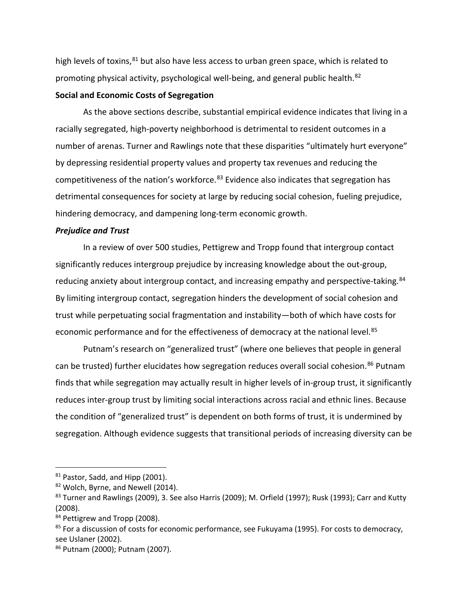high levels of toxins, $81$  but also have less access to urban green space, which is related to promoting physical activity, psychological well-being, and general public health.<sup>[82](#page-28-1)</sup>

## **Social and Economic Costs of Segregation**

As the above sections describe, substantial empirical evidence indicates that living in a racially segregated, high-poverty neighborhood is detrimental to resident outcomes in a number of arenas. Turner and Rawlings note that these disparities "ultimately hurt everyone" by depressing residential property values and property tax revenues and reducing the competitiveness of the nation's workforce.<sup>83</sup> Evidence also indicates that segregation has detrimental consequences for society at large by reducing social cohesion, fueling prejudice, hindering democracy, and dampening long-term economic growth.

#### *Prejudice and Trust*

In a review of over 500 studies, Pettigrew and Tropp found that intergroup contact significantly reduces intergroup prejudice by increasing knowledge about the out-group, reducing anxiety about intergroup contact, and increasing empathy and perspective-taking.<sup>[84](#page-28-3)</sup> By limiting intergroup contact, segregation hinders the development of social cohesion and trust while perpetuating social fragmentation and instability—both of which have costs for economic performance and for the effectiveness of democracy at the national level.<sup>[85](#page-28-4)</sup>

Putnam's research on "generalized trust" (where one believes that people in general can be trusted) further elucidates how segregation reduces overall social cohesion.<sup>[86](#page-28-5)</sup> Putnam finds that while segregation may actually result in higher levels of in-group trust, it significantly reduces inter-group trust by limiting social interactions across racial and ethnic lines. Because the condition of "generalized trust" is dependent on both forms of trust, it is undermined by segregation. Although evidence suggests that transitional periods of increasing diversity can be

<span id="page-28-0"></span><sup>81</sup> Pastor, Sadd, and Hipp (2001).

<span id="page-28-1"></span><sup>82</sup> Wolch, Byrne, and Newell (2014).

<span id="page-28-2"></span> $83$  Turner and Rawlings (2009), 3. See also Harris (2009); M. Orfield (1997); Rusk (1993); Carr and Kutty (2008).

<span id="page-28-3"></span><sup>84</sup> Pettigrew and Tropp (2008).

<span id="page-28-4"></span><sup>&</sup>lt;sup>85</sup> For a discussion of costs for economic performance, see Fukuyama (1995). For costs to democracy, see Uslaner (2002).

<span id="page-28-5"></span><sup>86</sup> Putnam (2000); Putnam (2007).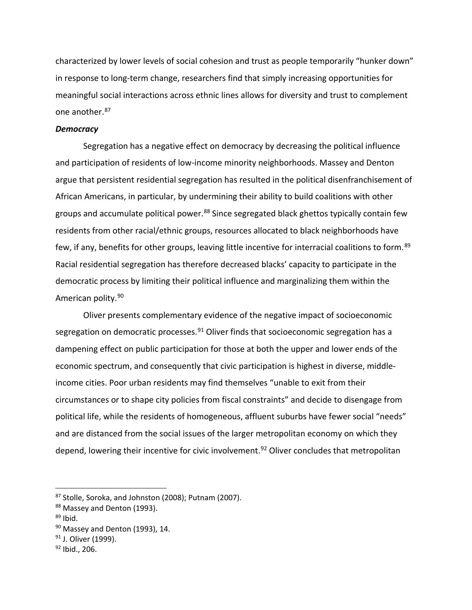characterized by lower levels of social cohesion and trust as people temporarily "hunker down" in response to long-term change, researchers find that simply increasing opportunities for meaningful social interactions across ethnic lines allows for diversity and trust to complement one another. [87](#page-29-0)

# *Democracy*

Segregation has a negative effect on democracy by decreasing the political influence and participation of residents of low-income minority neighborhoods. Massey and Denton argue that persistent residential segregation has resulted in the political disenfranchisement of African Americans, in particular, by undermining their ability to build coalitions with other groups and accumulate political power.<sup>[88](#page-29-1)</sup> Since segregated black ghettos typically contain few residents from other racial/ethnic groups, resources allocated to black neighborhoods have few, if any, benefits for other groups, leaving little incentive for interracial coalitions to form.<sup>[89](#page-29-2)</sup> Racial residential segregation has therefore decreased blacks' capacity to participate in the democratic process by limiting their political influence and marginalizing them within the American polity.<sup>[90](#page-29-3)</sup>

Oliver presents complementary evidence of the negative impact of socioeconomic segregation on democratic processes. $91$  Oliver finds that socioeconomic segregation has a dampening effect on public participation for those at both the upper and lower ends of the economic spectrum, and consequently that civic participation is highest in diverse, middleincome cities. Poor urban residents may find themselves "unable to exit from their circumstances or to shape city policies from fiscal constraints" and decide to disengage from political life, while the residents of homogeneous, affluent suburbs have fewer social "needs" and are distanced from the social issues of the larger metropolitan economy on which they depend, lowering their incentive for civic involvement.<sup>[92](#page-29-5)</sup> Oliver concludes that metropolitan

<span id="page-29-0"></span><sup>87</sup> Stolle, Soroka, and Johnston (2008); Putnam (2007).

<span id="page-29-1"></span><sup>88</sup> Massey and Denton (1993).

<span id="page-29-2"></span> $89$  Ibid.

<span id="page-29-3"></span> $90$  Massey and Denton (1993), 14.

<span id="page-29-4"></span><sup>&</sup>lt;sup>91</sup> J. Oliver (1999).

<span id="page-29-5"></span> $92$  Ibid., 206.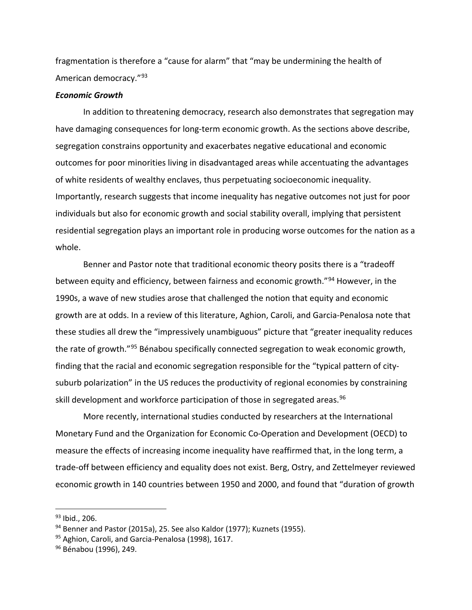fragmentation is therefore a "cause for alarm" that "may be undermining the health of American democracy."[93](#page-30-0)

## *Economic Growth*

In addition to threatening democracy, research also demonstrates that segregation may have damaging consequences for long-term economic growth. As the sections above describe, segregation constrains opportunity and exacerbates negative educational and economic outcomes for poor minorities living in disadvantaged areas while accentuating the advantages of white residents of wealthy enclaves, thus perpetuating socioeconomic inequality. Importantly, research suggests that income inequality has negative outcomes not just for poor individuals but also for economic growth and social stability overall, implying that persistent residential segregation plays an important role in producing worse outcomes for the nation as a whole.

Benner and Pastor note that traditional economic theory posits there is a "tradeoff between equity and efficiency, between fairness and economic growth."[94](#page-30-1) However, in the 1990s, a wave of new studies arose that challenged the notion that equity and economic growth are at odds. In a review of this literature, Aghion, Caroli, and Garcia-Penalosa note that these studies all drew the "impressively unambiguous" picture that "greater inequality reduces the rate of growth."[95](#page-30-2) Bénabou specifically connected segregation to weak economic growth, finding that the racial and economic segregation responsible for the "typical pattern of citysuburb polarization" in the US reduces the productivity of regional economies by constraining skill development and workforce participation of those in segregated areas. [96](#page-30-3)

More recently, international studies conducted by researchers at the International Monetary Fund and the Organization for Economic Co-Operation and Development (OECD) to measure the effects of increasing income inequality have reaffirmed that, in the long term, a trade-off between efficiency and equality does not exist. Berg, Ostry, and Zettelmeyer reviewed economic growth in 140 countries between 1950 and 2000, and found that "duration of growth

<span id="page-30-0"></span> $93$  Ibid., 206.

<span id="page-30-1"></span><sup>&</sup>lt;sup>94</sup> Benner and Pastor (2015a), 25. See also Kaldor (1977); Kuznets (1955).

<span id="page-30-2"></span><sup>95</sup> Aghion, Caroli, and Garcia-Penalosa (1998), 1617.

<span id="page-30-3"></span><sup>&</sup>lt;sup>96</sup> Bénabou (1996), 249.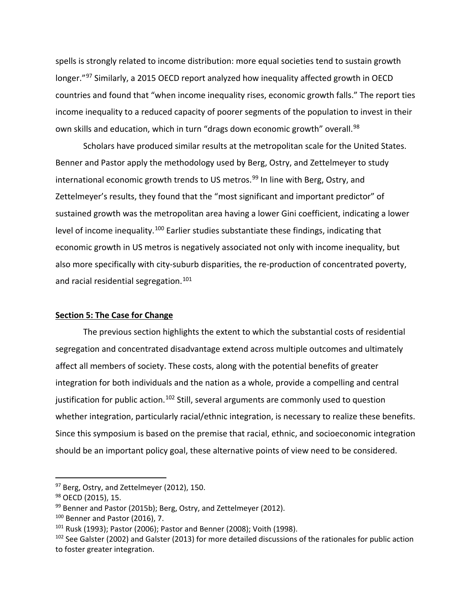spells is strongly related to income distribution: more equal societies tend to sustain growth longer."<sup>[97](#page-31-0)</sup> Similarly, a 2015 OECD report analyzed how inequality affected growth in OECD countries and found that "when income inequality rises, economic growth falls." The report ties income inequality to a reduced capacity of poorer segments of the population to invest in their own skills and education, which in turn "drags down economic growth" overall.<sup>[98](#page-31-1)</sup>

Scholars have produced similar results at the metropolitan scale for the United States. Benner and Pastor apply the methodology used by Berg, Ostry, and Zettelmeyer to study international economic growth trends to US metros.<sup>[99](#page-31-2)</sup> In line with Berg, Ostry, and Zettelmeyer's results, they found that the "most significant and important predictor" of sustained growth was the metropolitan area having a lower Gini coefficient, indicating a lower level of income inequality.<sup>[100](#page-31-3)</sup> Earlier studies substantiate these findings, indicating that economic growth in US metros is negatively associated not only with income inequality, but also more specifically with city-suburb disparities, the re-production of concentrated poverty, and racial residential segregation. [101](#page-31-4)

# **Section 5: The Case for Change**

The previous section highlights the extent to which the substantial costs of residential segregation and concentrated disadvantage extend across multiple outcomes and ultimately affect all members of society. These costs, along with the potential benefits of greater integration for both individuals and the nation as a whole, provide a compelling and central justification for public action.<sup>[102](#page-31-5)</sup> Still, several arguments are commonly used to question whether integration, particularly racial/ethnic integration, is necessary to realize these benefits. Since this symposium is based on the premise that racial, ethnic, and socioeconomic integration should be an important policy goal, these alternative points of view need to be considered.

<span id="page-31-0"></span><sup>&</sup>lt;sup>97</sup> Berg, Ostry, and Zettelmeyer (2012), 150.

<span id="page-31-1"></span><sup>98</sup> OECD (2015), 15.

<span id="page-31-2"></span><sup>99</sup> Benner and Pastor (2015b); Berg, Ostry, and Zettelmeyer (2012).

<span id="page-31-4"></span><span id="page-31-3"></span><sup>&</sup>lt;sup>100</sup> Benner and Pastor (2016), 7.<br><sup>101</sup> Rusk (1993); Pastor (2006); Pastor and Benner (2008); Voith (1998).

<span id="page-31-5"></span><sup>&</sup>lt;sup>102</sup> See Galster (2002) and Galster (2013) for more detailed discussions of the rationales for public action to foster greater integration.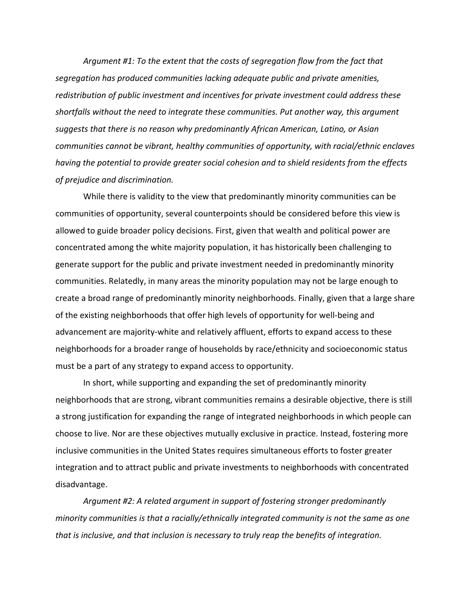*Argument #1: To the extent that the costs of segregation flow from the fact that segregation has produced communities lacking adequate public and private amenities, redistribution of public investment and incentives for private investment could address these shortfalls without the need to integrate these communities. Put another way, this argument suggests that there is no reason why predominantly African American, Latino, or Asian communities cannot be vibrant, healthy communities of opportunity, with racial/ethnic enclaves having the potential to provide greater social cohesion and to shield residents from the effects of prejudice and discrimination.* 

While there is validity to the view that predominantly minority communities can be communities of opportunity, several counterpoints should be considered before this view is allowed to guide broader policy decisions. First, given that wealth and political power are concentrated among the white majority population, it has historically been challenging to generate support for the public and private investment needed in predominantly minority communities. Relatedly, in many areas the minority population may not be large enough to create a broad range of predominantly minority neighborhoods. Finally, given that a large share of the existing neighborhoods that offer high levels of opportunity for well-being and advancement are majority-white and relatively affluent, efforts to expand access to these neighborhoods for a broader range of households by race/ethnicity and socioeconomic status must be a part of any strategy to expand access to opportunity.

In short, while supporting and expanding the set of predominantly minority neighborhoods that are strong, vibrant communities remains a desirable objective, there is still a strong justification for expanding the range of integrated neighborhoods in which people can choose to live. Nor are these objectives mutually exclusive in practice. Instead, fostering more inclusive communities in the United States requires simultaneous efforts to foster greater integration and to attract public and private investments to neighborhoods with concentrated disadvantage.

*Argument #2: A related argument in support of fostering stronger predominantly minority communities is that a racially/ethnically integrated community is not the same as one that is inclusive, and that inclusion is necessary to truly reap the benefits of integration.*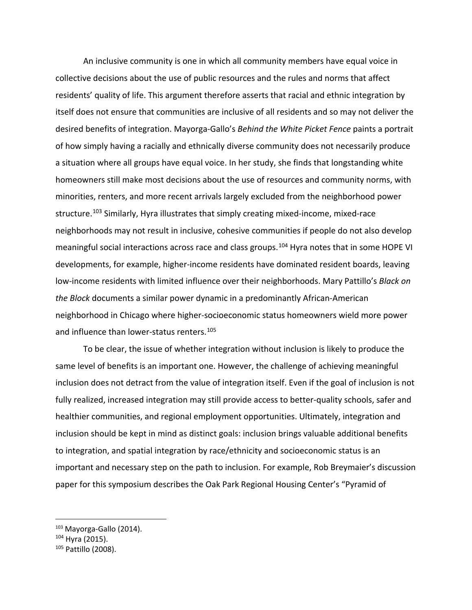An inclusive community is one in which all community members have equal voice in collective decisions about the use of public resources and the rules and norms that affect residents' quality of life. This argument therefore asserts that racial and ethnic integration by itself does not ensure that communities are inclusive of all residents and so may not deliver the desired benefits of integration. Mayorga-Gallo's *Behind the White Picket Fence* paints a portrait of how simply having a racially and ethnically diverse community does not necessarily produce a situation where all groups have equal voice. In her study, she finds that longstanding white homeowners still make most decisions about the use of resources and community norms, with minorities, renters, and more recent arrivals largely excluded from the neighborhood power structure.<sup>[103](#page-33-0)</sup> Similarly, Hyra illustrates that simply creating mixed-income, mixed-race neighborhoods may not result in inclusive, cohesive communities if people do not also develop meaningful social interactions across race and class groups. [104](#page-33-1) Hyra notes that in some HOPE VI developments, for example, higher-income residents have dominated resident boards, leaving low-income residents with limited influence over their neighborhoods. Mary Pattillo's *Black on the Block* documents a similar power dynamic in a predominantly African-American neighborhood in Chicago where higher-socioeconomic status homeowners wield more power and influence than lower-status renters.<sup>105</sup>

To be clear, the issue of whether integration without inclusion is likely to produce the same level of benefits is an important one. However, the challenge of achieving meaningful inclusion does not detract from the value of integration itself. Even if the goal of inclusion is not fully realized, increased integration may still provide access to better-quality schools, safer and healthier communities, and regional employment opportunities. Ultimately, integration and inclusion should be kept in mind as distinct goals: inclusion brings valuable additional benefits to integration, and spatial integration by race/ethnicity and socioeconomic status is an important and necessary step on the path to inclusion. For example, Rob Breymaier's discussion paper for this symposium describes the Oak Park Regional Housing Center's "Pyramid of

<span id="page-33-0"></span><sup>&</sup>lt;sup>103</sup> Mayorga-Gallo (2014).

<span id="page-33-1"></span> $104$  Hyra (2015).

<span id="page-33-2"></span><sup>105</sup> Pattillo (2008).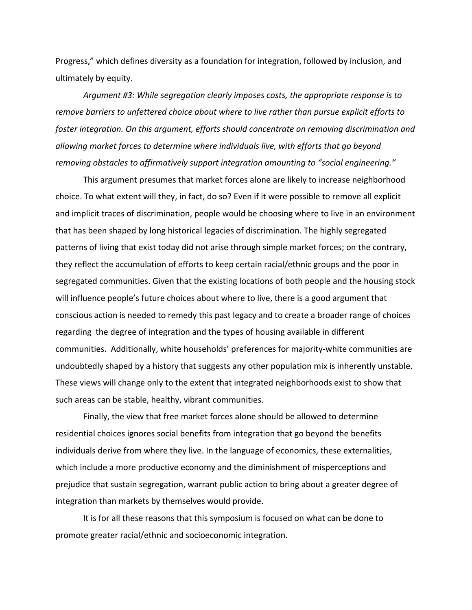Progress," which defines diversity as a foundation for integration, followed by inclusion, and ultimately by equity.

*Argument #3: While segregation clearly imposes costs, the appropriate response is to remove barriers to unfettered choice about where to live rather than pursue explicit efforts to foster integration. On this argument, efforts should concentrate on removing discrimination and allowing market forces to determine where individuals live, with efforts that go beyond removing obstacles to affirmatively support integration amounting to "social engineering."* 

This argument presumes that market forces alone are likely to increase neighborhood choice. To what extent will they, in fact, do so? Even if it were possible to remove all explicit and implicit traces of discrimination, people would be choosing where to live in an environment that has been shaped by long historical legacies of discrimination. The highly segregated patterns of living that exist today did not arise through simple market forces; on the contrary, they reflect the accumulation of efforts to keep certain racial/ethnic groups and the poor in segregated communities. Given that the existing locations of both people and the housing stock will influence people's future choices about where to live, there is a good argument that conscious action is needed to remedy this past legacy and to create a broader range of choices regarding the degree of integration and the types of housing available in different communities. Additionally, white households' preferences for majority-white communities are undoubtedly shaped by a history that suggests any other population mix is inherently unstable. These views will change only to the extent that integrated neighborhoods exist to show that such areas can be stable, healthy, vibrant communities.

Finally, the view that free market forces alone should be allowed to determine residential choices ignores social benefits from integration that go beyond the benefits individuals derive from where they live. In the language of economics, these externalities, which include a more productive economy and the diminishment of misperceptions and prejudice that sustain segregation, warrant public action to bring about a greater degree of integration than markets by themselves would provide.

It is for all these reasons that this symposium is focused on what can be done to promote greater racial/ethnic and socioeconomic integration.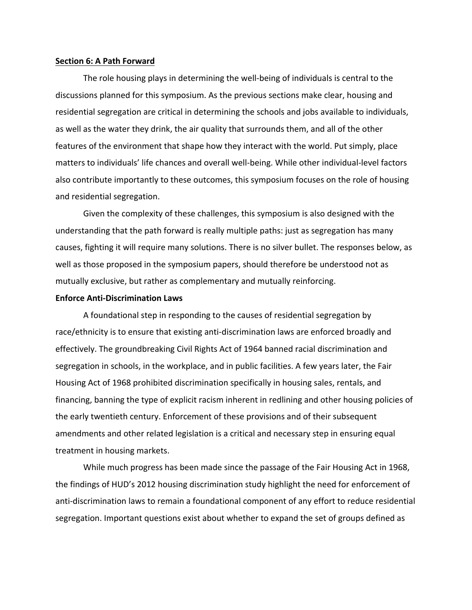#### **Section 6: A Path Forward**

The role housing plays in determining the well-being of individuals is central to the discussions planned for this symposium. As the previous sections make clear, housing and residential segregation are critical in determining the schools and jobs available to individuals, as well as the water they drink, the air quality that surrounds them, and all of the other features of the environment that shape how they interact with the world. Put simply, place matters to individuals' life chances and overall well-being. While other individual-level factors also contribute importantly to these outcomes, this symposium focuses on the role of housing and residential segregation.

Given the complexity of these challenges, this symposium is also designed with the understanding that the path forward is really multiple paths: just as segregation has many causes, fighting it will require many solutions. There is no silver bullet. The responses below, as well as those proposed in the symposium papers, should therefore be understood not as mutually exclusive, but rather as complementary and mutually reinforcing.

#### **Enforce Anti-Discrimination Laws**

A foundational step in responding to the causes of residential segregation by race/ethnicity is to ensure that existing anti-discrimination laws are enforced broadly and effectively. The groundbreaking Civil Rights Act of 1964 banned racial discrimination and segregation in schools, in the workplace, and in public facilities. A few years later, the Fair Housing Act of 1968 prohibited discrimination specifically in housing sales, rentals, and financing, banning the type of explicit racism inherent in redlining and other housing policies of the early twentieth century. Enforcement of these provisions and of their subsequent amendments and other related legislation is a critical and necessary step in ensuring equal treatment in housing markets.

While much progress has been made since the passage of the Fair Housing Act in 1968, the findings of HUD's 2012 housing discrimination study highlight the need for enforcement of anti-discrimination laws to remain a foundational component of any effort to reduce residential segregation. Important questions exist about whether to expand the set of groups defined as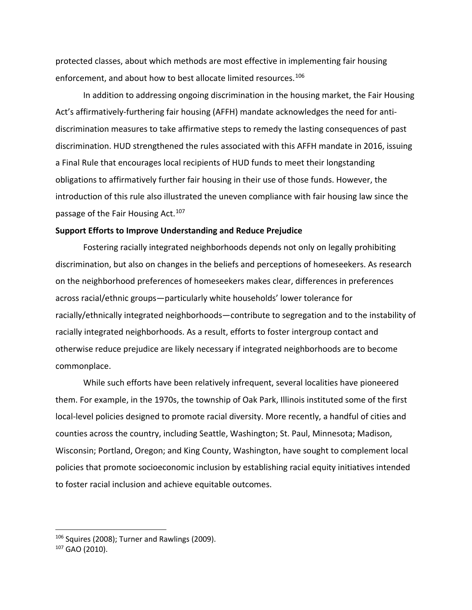protected classes, about which methods are most effective in implementing fair housing enforcement, and about how to best allocate limited resources. [106](#page-36-0)

In addition to addressing ongoing discrimination in the housing market, the Fair Housing Act's affirmatively-furthering fair housing (AFFH) mandate acknowledges the need for antidiscrimination measures to take affirmative steps to remedy the lasting consequences of past discrimination. HUD strengthened the rules associated with this AFFH mandate in 2016, issuing a Final Rule that encourages local recipients of HUD funds to meet their longstanding obligations to affirmatively further fair housing in their use of those funds. However, the introduction of this rule also illustrated the uneven compliance with fair housing law since the passage of the Fair Housing Act.<sup>[107](#page-36-1)</sup>

## **Support Efforts to Improve Understanding and Reduce Prejudice**

Fostering racially integrated neighborhoods depends not only on legally prohibiting discrimination, but also on changes in the beliefs and perceptions of homeseekers. As research on the neighborhood preferences of homeseekers makes clear, differences in preferences across racial/ethnic groups—particularly white households' lower tolerance for racially/ethnically integrated neighborhoods—contribute to segregation and to the instability of racially integrated neighborhoods. As a result, efforts to foster intergroup contact and otherwise reduce prejudice are likely necessary if integrated neighborhoods are to become commonplace.

While such efforts have been relatively infrequent, several localities have pioneered them. For example, in the 1970s, the township of Oak Park, Illinois instituted some of the first local-level policies designed to promote racial diversity. More recently, a handful of cities and counties across the country, including Seattle, Washington; St. Paul, Minnesota; Madison, Wisconsin; Portland, Oregon; and King County, Washington, have sought to complement local policies that promote socioeconomic inclusion by establishing racial equity initiatives intended to foster racial inclusion and achieve equitable outcomes.

<span id="page-36-0"></span><sup>&</sup>lt;sup>106</sup> Squires (2008); Turner and Rawlings (2009).

<span id="page-36-1"></span> $107$  GAO (2010).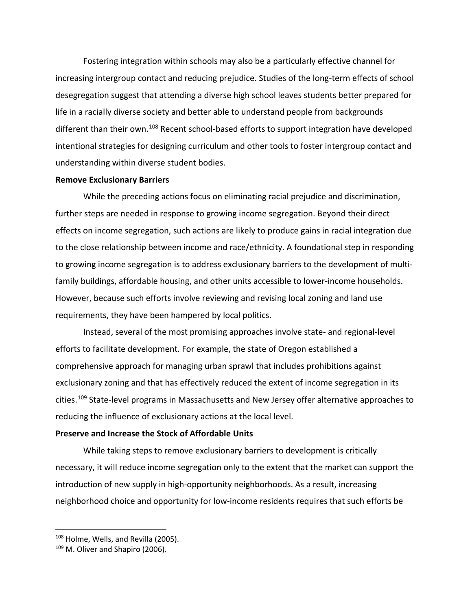Fostering integration within schools may also be a particularly effective channel for increasing intergroup contact and reducing prejudice. Studies of the long-term effects of school desegregation suggest that attending a diverse high school leaves students better prepared for life in a racially diverse society and better able to understand people from backgrounds different than their own.<sup>[108](#page-37-0)</sup> Recent school-based efforts to support integration have developed intentional strategies for designing curriculum and other tools to foster intergroup contact and understanding within diverse student bodies.

#### **Remove Exclusionary Barriers**

While the preceding actions focus on eliminating racial prejudice and discrimination, further steps are needed in response to growing income segregation. Beyond their direct effects on income segregation, such actions are likely to produce gains in racial integration due to the close relationship between income and race/ethnicity. A foundational step in responding to growing income segregation is to address exclusionary barriers to the development of multifamily buildings, affordable housing, and other units accessible to lower-income households. However, because such efforts involve reviewing and revising local zoning and land use requirements, they have been hampered by local politics.

Instead, several of the most promising approaches involve state- and regional-level efforts to facilitate development. For example, the state of Oregon established a comprehensive approach for managing urban sprawl that includes prohibitions against exclusionary zoning and that has effectively reduced the extent of income segregation in its cities. [109](#page-37-1) State-level programs in Massachusetts and New Jersey offer alternative approaches to reducing the influence of exclusionary actions at the local level.

#### **Preserve and Increase the Stock of Affordable Units**

While taking steps to remove exclusionary barriers to development is critically necessary, it will reduce income segregation only to the extent that the market can support the introduction of new supply in high-opportunity neighborhoods. As a result, increasing neighborhood choice and opportunity for low-income residents requires that such efforts be

<span id="page-37-0"></span><sup>&</sup>lt;sup>108</sup> Holme, Wells, and Revilla (2005).

<span id="page-37-1"></span><sup>109</sup> M. Oliver and Shapiro (2006)*.*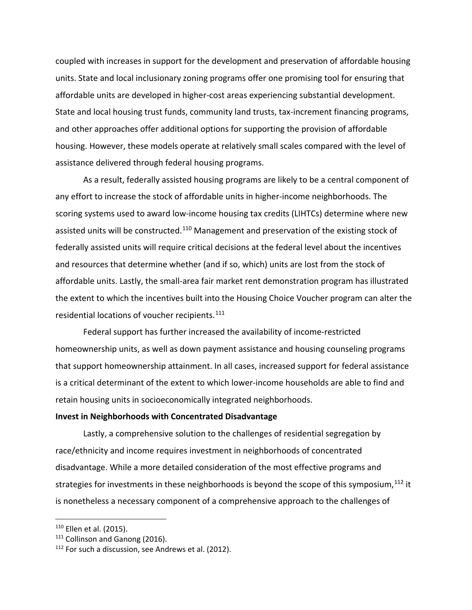coupled with increases in support for the development and preservation of affordable housing units. State and local inclusionary zoning programs offer one promising tool for ensuring that affordable units are developed in higher-cost areas experiencing substantial development. State and local housing trust funds, community land trusts, tax-increment financing programs, and other approaches offer additional options for supporting the provision of affordable housing. However, these models operate at relatively small scales compared with the level of assistance delivered through federal housing programs.

As a result, federally assisted housing programs are likely to be a central component of any effort to increase the stock of affordable units in higher-income neighborhoods. The scoring systems used to award low-income housing tax credits (LIHTCs) determine where new assisted units will be constructed.<sup>[110](#page-38-0)</sup> Management and preservation of the existing stock of federally assisted units will require critical decisions at the federal level about the incentives and resources that determine whether (and if so, which) units are lost from the stock of affordable units. Lastly, the small-area fair market rent demonstration program has illustrated the extent to which the incentives built into the Housing Choice Voucher program can alter the residential locations of voucher recipients.<sup>[111](#page-38-1)</sup>

Federal support has further increased the availability of income-restricted homeownership units, as well as down payment assistance and housing counseling programs that support homeownership attainment. In all cases, increased support for federal assistance is a critical determinant of the extent to which lower-income households are able to find and retain housing units in socioeconomically integrated neighborhoods.

#### **Invest in Neighborhoods with Concentrated Disadvantage**

Lastly, a comprehensive solution to the challenges of residential segregation by race/ethnicity and income requires investment in neighborhoods of concentrated disadvantage. While a more detailed consideration of the most effective programs and strategies for investments in these neighborhoods is beyond the scope of this symposium,  $112$  it is nonetheless a necessary component of a comprehensive approach to the challenges of

<span id="page-38-0"></span><sup>&</sup>lt;sup>110</sup> Ellen et al. (2015).

<span id="page-38-1"></span><sup>&</sup>lt;sup>111</sup> Collinson and Ganong (2016).

<span id="page-38-2"></span><sup>&</sup>lt;sup>112</sup> For such a discussion, see Andrews et al. (2012).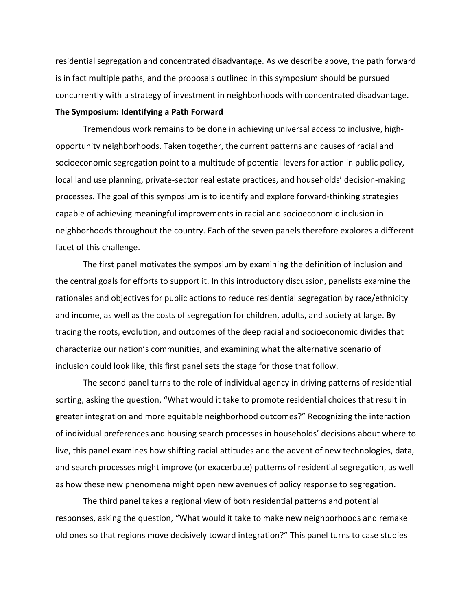residential segregation and concentrated disadvantage. As we describe above, the path forward is in fact multiple paths, and the proposals outlined in this symposium should be pursued concurrently with a strategy of investment in neighborhoods with concentrated disadvantage.

# **The Symposium: Identifying a Path Forward**

Tremendous work remains to be done in achieving universal access to inclusive, highopportunity neighborhoods. Taken together, the current patterns and causes of racial and socioeconomic segregation point to a multitude of potential levers for action in public policy, local land use planning, private-sector real estate practices, and households' decision-making processes. The goal of this symposium is to identify and explore forward-thinking strategies capable of achieving meaningful improvements in racial and socioeconomic inclusion in neighborhoods throughout the country. Each of the seven panels therefore explores a different facet of this challenge.

The first panel motivates the symposium by examining the definition of inclusion and the central goals for efforts to support it. In this introductory discussion, panelists examine the rationales and objectives for public actions to reduce residential segregation by race/ethnicity and income, as well as the costs of segregation for children, adults, and society at large. By tracing the roots, evolution, and outcomes of the deep racial and socioeconomic divides that characterize our nation's communities, and examining what the alternative scenario of inclusion could look like, this first panel sets the stage for those that follow.

The second panel turns to the role of individual agency in driving patterns of residential sorting, asking the question, "What would it take to promote residential choices that result in greater integration and more equitable neighborhood outcomes?" Recognizing the interaction of individual preferences and housing search processes in households' decisions about where to live, this panel examines how shifting racial attitudes and the advent of new technologies, data, and search processes might improve (or exacerbate) patterns of residential segregation, as well as how these new phenomena might open new avenues of policy response to segregation.

The third panel takes a regional view of both residential patterns and potential responses, asking the question, "What would it take to make new neighborhoods and remake old ones so that regions move decisively toward integration?" This panel turns to case studies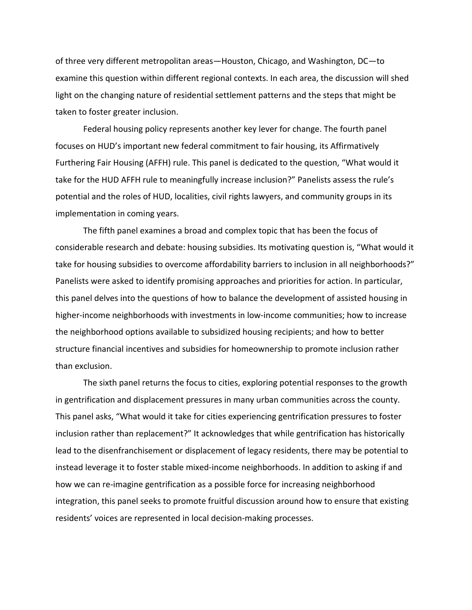of three very different metropolitan areas—Houston, Chicago, and Washington, DC—to examine this question within different regional contexts. In each area, the discussion will shed light on the changing nature of residential settlement patterns and the steps that might be taken to foster greater inclusion.

Federal housing policy represents another key lever for change. The fourth panel focuses on HUD's important new federal commitment to fair housing, its Affirmatively Furthering Fair Housing (AFFH) rule. This panel is dedicated to the question, "What would it take for the HUD AFFH rule to meaningfully increase inclusion?" Panelists assess the rule's potential and the roles of HUD, localities, civil rights lawyers, and community groups in its implementation in coming years.

The fifth panel examines a broad and complex topic that has been the focus of considerable research and debate: housing subsidies. Its motivating question is, "What would it take for housing subsidies to overcome affordability barriers to inclusion in all neighborhoods?" Panelists were asked to identify promising approaches and priorities for action. In particular, this panel delves into the questions of how to balance the development of assisted housing in higher-income neighborhoods with investments in low-income communities; how to increase the neighborhood options available to subsidized housing recipients; and how to better structure financial incentives and subsidies for homeownership to promote inclusion rather than exclusion.

The sixth panel returns the focus to cities, exploring potential responses to the growth in gentrification and displacement pressures in many urban communities across the county. This panel asks, "What would it take for cities experiencing gentrification pressures to foster inclusion rather than replacement?" It acknowledges that while gentrification has historically lead to the disenfranchisement or displacement of legacy residents, there may be potential to instead leverage it to foster stable mixed-income neighborhoods. In addition to asking if and how we can re-imagine gentrification as a possible force for increasing neighborhood integration, this panel seeks to promote fruitful discussion around how to ensure that existing residents' voices are represented in local decision-making processes.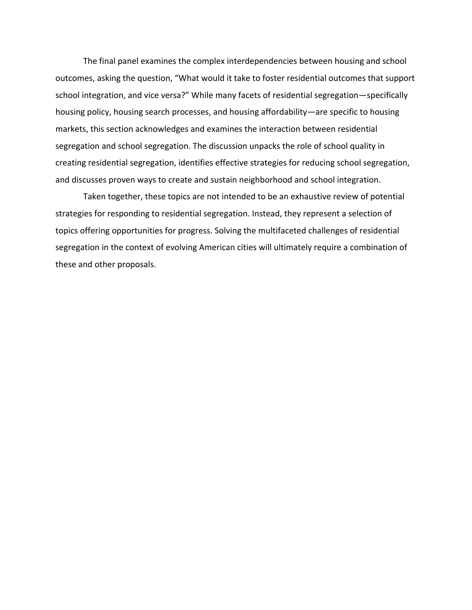The final panel examines the complex interdependencies between housing and school outcomes, asking the question, "What would it take to foster residential outcomes that support school integration, and vice versa?" While many facets of residential segregation—specifically housing policy, housing search processes, and housing affordability—are specific to housing markets, this section acknowledges and examines the interaction between residential segregation and school segregation. The discussion unpacks the role of school quality in creating residential segregation, identifies effective strategies for reducing school segregation, and discusses proven ways to create and sustain neighborhood and school integration.

Taken together, these topics are not intended to be an exhaustive review of potential strategies for responding to residential segregation. Instead, they represent a selection of topics offering opportunities for progress. Solving the multifaceted challenges of residential segregation in the context of evolving American cities will ultimately require a combination of these and other proposals.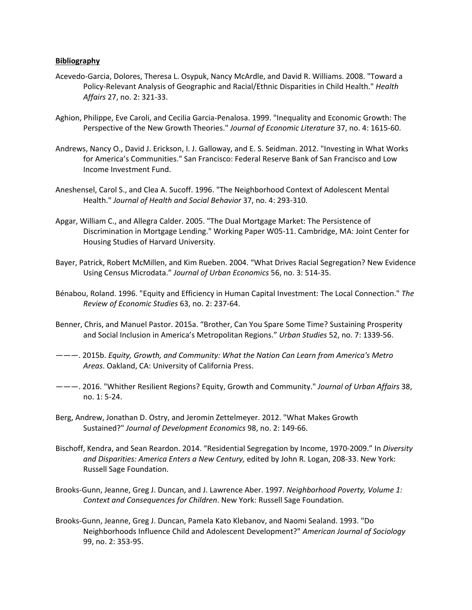#### **Bibliography**

- Acevedo-Garcia, Dolores, Theresa L. Osypuk, Nancy McArdle, and David R. Williams. 2008. "Toward a Policy-Relevant Analysis of Geographic and Racial/Ethnic Disparities in Child Health." *Health Affairs* 27, no. 2: 321-33.
- Aghion, Philippe, Eve Caroli, and Cecilia Garcia-Penalosa. 1999. "Inequality and Economic Growth: The Perspective of the New Growth Theories." *Journal of Economic Literature* 37, no. 4: 1615-60.
- Andrews, Nancy O., David J. Erickson, I. J. Galloway, and E. S. Seidman. 2012. "Investing in What Works for America's Communities." San Francisco: Federal Reserve Bank of San Francisco and Low Income Investment Fund.
- Aneshensel, Carol S., and Clea A. Sucoff. 1996. "The Neighborhood Context of Adolescent Mental Health." *Journal of Health and Social Behavior* 37, no. 4: 293-310.
- Apgar, William C., and Allegra Calder. 2005. "The Dual Mortgage Market: The Persistence of Discrimination in Mortgage Lending." Working Paper W05-11. Cambridge, MA: Joint Center for Housing Studies of Harvard University.
- Bayer, Patrick, Robert McMillen, and Kim Rueben. 2004. "What Drives Racial Segregation? New Evidence Using Census Microdata." *Journal of Urban Economics* 56, no. 3: 514-35.
- Bénabou, Roland. 1996. "Equity and Efficiency in Human Capital Investment: The Local Connection." *The Review of Economic Studies* 63, no. 2: 237-64.
- Benner, Chris, and Manuel Pastor. 2015a. "Brother, Can You Spare Some Time? Sustaining Prosperity and Social Inclusion in America's Metropolitan Regions." *Urban Studies* 52, no. 7: 1339-56.
- ———. 2015b. *Equity, Growth, and Community: What the Nation Can Learn from America's Metro Areas*. Oakland, CA: University of California Press.
- ———. 2016. "Whither Resilient Regions? Equity, Growth and Community." *Journal of Urban Affairs* 38, no. 1: 5-24.
- Berg, Andrew, Jonathan D. Ostry, and Jeromin Zettelmeyer. 2012. "What Makes Growth Sustained?" *Journal of Development Economics* 98, no. 2: 149-66.
- Bischoff, Kendra, and Sean Reardon. 2014. "Residential Segregation by Income, 1970-2009." In *Diversity and Disparities: America Enters a New Century,* edited by John R. Logan, 208-33. New York: Russell Sage Foundation.
- Brooks-Gunn, Jeanne, Greg J. Duncan, and J. Lawrence Aber. 1997. *Neighborhood Poverty, Volume 1: Context and Consequences for Children*. New York: Russell Sage Foundation.
- Brooks-Gunn, Jeanne, Greg J. Duncan, Pamela Kato Klebanov, and Naomi Sealand. 1993. "Do Neighborhoods Influence Child and Adolescent Development?" *American Journal of Sociology* 99, no. 2: 353-95.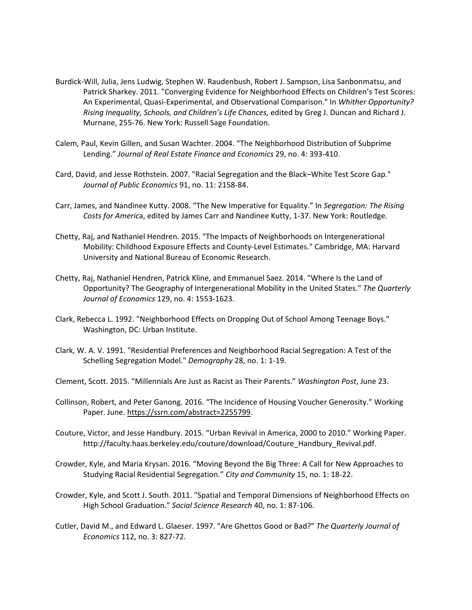- Burdick-Will, Julia, Jens Ludwig, Stephen W. Raudenbush, Robert J. Sampson, Lisa Sanbonmatsu, and Patrick Sharkey. 2011. "Converging Evidence for Neighborhood Effects on Children's Test Scores: An Experimental, Quasi-Experimental, and Observational Comparison." In *Whither Opportunity? Rising Inequality, Schools, and Children's Life Chances,* edited by Greg J. Duncan and Richard J. Murnane, 255-76. New York: Russell Sage Foundation.
- Calem, Paul, Kevin Gillen, and Susan Wachter. 2004. "The Neighborhood Distribution of Subprime Lending." *Journal of Real Estate Finance and Economics* 29, no. 4: 393-410.
- Card, David, and Jesse Rothstein. 2007. "Racial Segregation and the Black–White Test Score Gap." *Journal of Public Economics* 91, no. 11: 2158-84.
- Carr, James, and Nandinee Kutty. 2008. "The New Imperative for Equality." In *Segregation: The Rising Costs for Americ*a, edited by James Carr and Nandinee Kutty, 1-37. New York: Routledge.
- Chetty, Raj, and Nathaniel Hendren. 2015. "The Impacts of Neighborhoods on Intergenerational Mobility: Childhood Exposure Effects and County-Level Estimates." Cambridge, MA: Harvard University and National Bureau of Economic Research.
- Chetty, Raj, Nathaniel Hendren, Patrick Kline, and Emmanuel Saez. 2014. "Where Is the Land of Opportunity? The Geography of Intergenerational Mobility in the United States." *The Quarterly Journal of Economics* 129, no. 4: 1553-1623.
- Clark, Rebecca L. 1992. "Neighborhood Effects on Dropping Out of School Among Teenage Boys." Washington, DC: Urban Institute.
- Clark, W. A. V. 1991. "Residential Preferences and Neighborhood Racial Segregation: A Test of the Schelling Segregation Model." *Demography* 28, no. 1: 1-19.
- Clement, Scott. 2015. "Millennials Are Just as Racist as Their Parents." *Washington Post*, June 23.
- Collinson, Robert, and Peter Ganong. 2016. "The Incidence of Housing Voucher Generosity." Working Paper. June. [https://ssrn.com/abstract=2255799.](https://ssrn.com/abstract=2255799)
- Couture, Victor, and Jesse Handbury. 2015. "Urban Revival in America, 2000 to 2010." Working Paper. http://faculty.haas.berkeley.edu/couture/download/Couture\_Handbury\_Revival.pdf.
- Crowder, Kyle, and Maria Krysan. 2016. "Moving Beyond the Big Three: A Call for New Approaches to Studying Racial Residential Segregation." *City and Community* 15, no. 1: 18-22.
- Crowder, Kyle, and Scott J. South. 2011. "Spatial and Temporal Dimensions of Neighborhood Effects on High School Graduation." *Social Science Research* 40, no. 1: 87-106.
- Cutler, David M., and Edward L. Glaeser. 1997. "Are Ghettos Good or Bad?" *The Quarterly Journal of Economics* 112, no. 3: 827-72.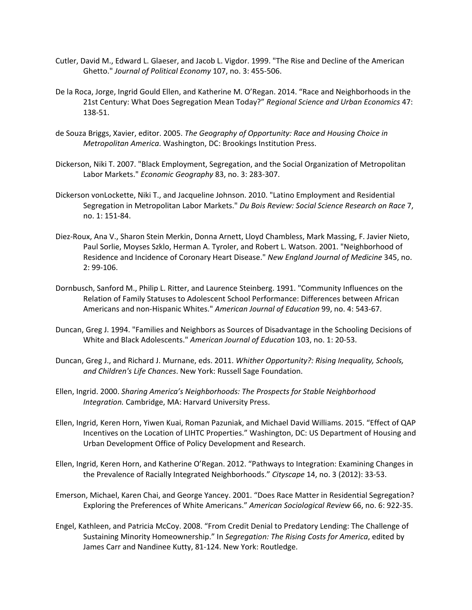- Cutler, David M., Edward L. Glaeser, and Jacob L. Vigdor. 1999. "The Rise and Decline of the American Ghetto." *Journal of Political Economy* 107, no. 3: 455-506.
- De la Roca, Jorge, Ingrid Gould Ellen, and Katherine M. O'Regan. 2014. "Race and Neighborhoods in the 21st Century: What Does Segregation Mean Today?" *Regional Science and Urban Economics* 47: 138-51.
- de Souza Briggs, Xavier, editor. 2005. *The Geography of Opportunity: Race and Housing Choice in Metropolitan America*. Washington, DC: Brookings Institution Press.
- Dickerson, Niki T. 2007. "Black Employment, Segregation, and the Social Organization of Metropolitan Labor Markets." *Economic Geography* 83, no. 3: 283-307.
- Dickerson vonLockette, Niki T., and Jacqueline Johnson. 2010. "Latino Employment and Residential Segregation in Metropolitan Labor Markets." *Du Bois Review: Social Science Research on Race* 7, no. 1: 151-84.
- Diez-Roux, Ana V., Sharon Stein Merkin, Donna Arnett, Lloyd Chambless, Mark Massing, F. Javier Nieto, Paul Sorlie, Moyses Szklo, Herman A. Tyroler, and Robert L. Watson. 2001. "Neighborhood of Residence and Incidence of Coronary Heart Disease." *New England Journal of Medicine* 345, no. 2: 99-106.
- Dornbusch, Sanford M., Philip L. Ritter, and Laurence Steinberg. 1991. "Community Influences on the Relation of Family Statuses to Adolescent School Performance: Differences between African Americans and non-Hispanic Whites." *American Journal of Education* 99, no. 4: 543-67.
- Duncan, Greg J. 1994. "Families and Neighbors as Sources of Disadvantage in the Schooling Decisions of White and Black Adolescents." *American Journal of Education* 103, no. 1: 20-53.
- Duncan, Greg J., and Richard J. Murnane, eds. 2011. *Whither Opportunity?: Rising Inequality, Schools, and Children's Life Chances*. New York: Russell Sage Foundation.
- Ellen, Ingrid. 2000. *Sharing America's Neighborhoods: The Prospects for Stable Neighborhood Integration.* Cambridge, MA: Harvard University Press.
- Ellen, Ingrid, Keren Horn, Yiwen Kuai, Roman Pazuniak, and Michael David Williams. 2015. "Effect of QAP Incentives on the Location of LIHTC Properties." Washington, DC: US Department of Housing and Urban Development Office of Policy Development and Research.
- Ellen, Ingrid, Keren Horn, and Katherine O'Regan. 2012. "Pathways to Integration: Examining Changes in the Prevalence of Racially Integrated Neighborhoods." *Cityscape* 14, no. 3 (2012): 33-53.
- Emerson, Michael, Karen Chai, and George Yancey. 2001. "Does Race Matter in Residential Segregation? Exploring the Preferences of White Americans." *American Sociological Review* 66, no. 6: 922-35.
- Engel, Kathleen, and Patricia McCoy. 2008. "From Credit Denial to Predatory Lending: The Challenge of Sustaining Minority Homeownership." In *Segregation: The Rising Costs for America*, edited by James Carr and Nandinee Kutty, 81-124. New York: Routledge.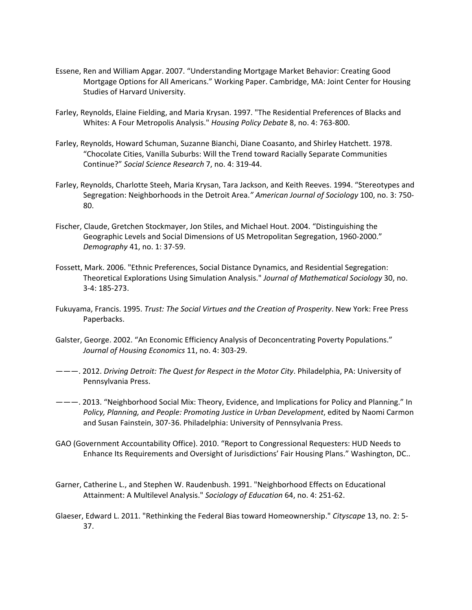- Essene, Ren and William Apgar. 2007. "Understanding Mortgage Market Behavior: Creating Good Mortgage Options for All Americans." Working Paper. Cambridge, MA: Joint Center for Housing Studies of Harvard University.
- Farley, Reynolds, Elaine Fielding, and Maria Krysan. 1997. "The Residential Preferences of Blacks and Whites: A Four Metropolis Analysis." *Housing Policy Debate* 8, no. 4: 763-800.
- Farley, Reynolds, Howard Schuman, Suzanne Bianchi, Diane Coasanto, and Shirley Hatchett. 1978. "Chocolate Cities, Vanilla Suburbs: Will the Trend toward Racially Separate Communities Continue?" *Social Science Research* 7, no. 4: 319-44.
- Farley, Reynolds, Charlotte Steeh, Maria Krysan, Tara Jackson, and Keith Reeves. 1994. "Stereotypes and Segregation: Neighborhoods in the Detroit Area.*" American Journal of Sociology* 100, no. 3: 750- 80.
- Fischer, Claude, Gretchen Stockmayer, Jon Stiles, and Michael Hout. 2004. "Distinguishing the Geographic Levels and Social Dimensions of US Metropolitan Segregation, 1960-2000." *Demography* 41, no. 1: 37-59.
- Fossett, Mark. 2006. "Ethnic Preferences, Social Distance Dynamics, and Residential Segregation: Theoretical Explorations Using Simulation Analysis." *Journal of Mathematical Sociology* 30, no. 3-4: 185-273.
- Fukuyama, Francis. 1995. *Trust: The Social Virtues and the Creation of Prosperity*. New York: Free Press Paperbacks.
- Galster, George. 2002. "An Economic Efficiency Analysis of Deconcentrating Poverty Populations." *Journal of Housing Economics* 11, no. 4: 303-29.
- ———. 2012. *Driving Detroit: The Quest for Respect in the Motor City*. Philadelphia, PA: University of Pennsylvania Press.
- ———. 2013. "Neighborhood Social Mix: Theory, Evidence, and Implications for Policy and Planning." In *Policy, Planning, and People: Promoting Justice in Urban Development*, edited by Naomi Carmon and Susan Fainstein, 307-36. Philadelphia: University of Pennsylvania Press.
- GAO (Government Accountability Office). 2010. "Report to Congressional Requesters: HUD Needs to Enhance Its Requirements and Oversight of Jurisdictions' Fair Housing Plans." Washington, DC..
- Garner, Catherine L., and Stephen W. Raudenbush. 1991. "Neighborhood Effects on Educational Attainment: A Multilevel Analysis." *Sociology of Education* 64, no. 4: 251-62.
- Glaeser, Edward L. 2011. "Rethinking the Federal Bias toward Homeownership." *Cityscape* 13, no. 2: 5- 37.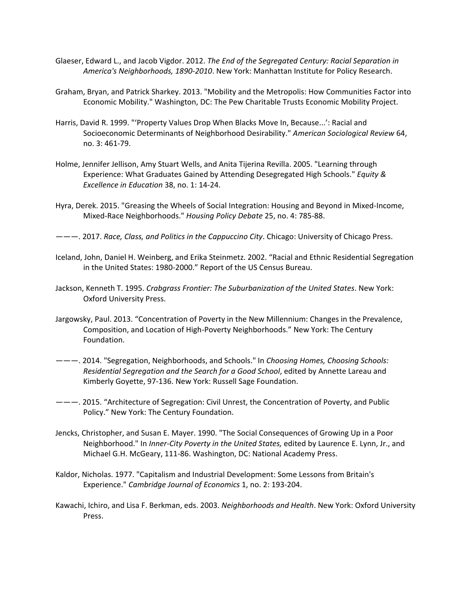- Glaeser, Edward L., and Jacob Vigdor. 2012. *The End of the Segregated Century: Racial Separation in America's Neighborhoods, 1890-2010*. New York: Manhattan Institute for Policy Research.
- Graham, Bryan, and Patrick Sharkey. 2013. "Mobility and the Metropolis: How Communities Factor into Economic Mobility." Washington, DC: The Pew Charitable Trusts Economic Mobility Project.
- Harris, David R. 1999. "'Property Values Drop When Blacks Move In, Because...': Racial and Socioeconomic Determinants of Neighborhood Desirability." *American Sociological Review* 64, no. 3: 461-79.
- Holme, Jennifer Jellison, Amy Stuart Wells, and Anita Tijerina Revilla. 2005. "Learning through Experience: What Graduates Gained by Attending Desegregated High Schools." *Equity & Excellence in Education* 38, no. 1: 14-24.
- Hyra, Derek. 2015. "Greasing the Wheels of Social Integration: Housing and Beyond in Mixed-Income, Mixed-Race Neighborhoods." *Housing Policy Debate* 25, no. 4: 785-88.

———. 2017. *Race, Class, and Politics in the Cappuccino City*. Chicago: University of Chicago Press.

- Iceland, John, Daniel H. Weinberg, and Erika Steinmetz. 2002. "Racial and Ethnic Residential Segregation in the United States: 1980-2000." Report of the US Census Bureau.
- Jackson, Kenneth T. 1995. *Crabgrass Frontier: The Suburbanization of the United States*. New York: Oxford University Press.
- Jargowsky, Paul. 2013. "Concentration of Poverty in the New Millennium: Changes in the Prevalence, Composition, and Location of High-Poverty Neighborhoods." New York: The Century Foundation.
- ———. 2014. "Segregation, Neighborhoods, and Schools." In *Choosing Homes, Choosing Schools: Residential Segregation and the Search for a Good School*, edited by Annette Lareau and Kimberly Goyette, 97-136. New York: Russell Sage Foundation.
- ———. 2015. "Architecture of Segregation: Civil Unrest, the Concentration of Poverty, and Public Policy." New York: The Century Foundation.
- Jencks, Christopher, and Susan E. Mayer. 1990. "The Social Consequences of Growing Up in a Poor Neighborhood." In *Inner-City Poverty in the United States,* edited by Laurence E. Lynn, Jr., and Michael G.H. McGeary, 111-86. Washington, DC: National Academy Press.
- Kaldor, Nicholas. 1977. "Capitalism and Industrial Development: Some Lessons from Britain's Experience." *Cambridge Journal of Economics* 1, no. 2: 193-204.
- Kawachi, Ichiro, and Lisa F. Berkman, eds. 2003. *Neighborhoods and Health*. New York: Oxford University Press.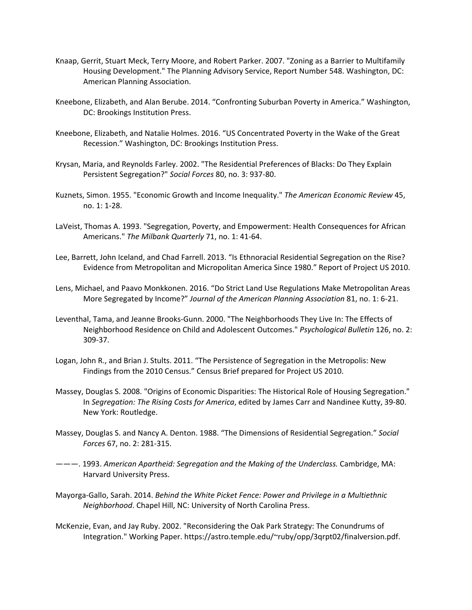- Knaap, Gerrit, Stuart Meck, Terry Moore, and Robert Parker. 2007. "Zoning as a Barrier to Multifamily Housing Development." The Planning Advisory Service, Report Number 548. Washington, DC: American Planning Association.
- Kneebone, Elizabeth, and Alan Berube. 2014. "Confronting Suburban Poverty in America." Washington, DC: Brookings Institution Press.
- Kneebone, Elizabeth, and Natalie Holmes. 2016. "US Concentrated Poverty in the Wake of the Great Recession." Washington, DC: Brookings Institution Press.
- Krysan, Maria, and Reynolds Farley. 2002. "The Residential Preferences of Blacks: Do They Explain Persistent Segregation?" *Social Forces* 80, no. 3: 937-80.
- Kuznets, Simon. 1955. "Economic Growth and Income Inequality." *The American Economic Review* 45, no. 1: 1-28.
- LaVeist, Thomas A. 1993. "Segregation, Poverty, and Empowerment: Health Consequences for African Americans." *The Milbank Quarterly* 71, no. 1: 41-64.
- Lee, Barrett, John Iceland, and Chad Farrell. 2013. "Is Ethnoracial Residential Segregation on the Rise? Evidence from Metropolitan and Micropolitan America Since 1980." Report of Project US 2010.
- Lens, Michael, and Paavo Monkkonen. 2016. "Do Strict Land Use Regulations Make Metropolitan Areas More Segregated by Income?" *Journal of the American Planning Association* 81, no. 1: 6-21.
- Leventhal, Tama, and Jeanne Brooks-Gunn. 2000. "The Neighborhoods They Live In: The Effects of Neighborhood Residence on Child and Adolescent Outcomes." *Psychological Bulletin* 126, no. 2: 309-37.
- Logan, John R., and Brian J. Stults. 2011. "The Persistence of Segregation in the Metropolis: New Findings from the 2010 Census." Census Brief prepared for Project US 2010.
- Massey, Douglas S. 2008. "Origins of Economic Disparities: The Historical Role of Housing Segregation." In *Segregation: The Rising Costs for America*, edited by James Carr and Nandinee Kutty, 39-80. New York: Routledge.
- Massey, Douglas S. and Nancy A. Denton. 1988. "The Dimensions of Residential Segregation." *Social Forces* 67, no. 2: 281-315.
- ———. 1993. *American Apartheid: Segregation and the Making of the Underclass.* Cambridge, MA: Harvard University Press.
- Mayorga-Gallo, Sarah. 2014. *Behind the White Picket Fence: Power and Privilege in a Multiethnic Neighborhood*. Chapel Hill, NC: University of North Carolina Press.
- McKenzie, Evan, and Jay Ruby. 2002. "Reconsidering the Oak Park Strategy: The Conundrums of Integration." Working Paper. https://astro.temple.edu/~ruby/opp/3qrpt02/finalversion.pdf.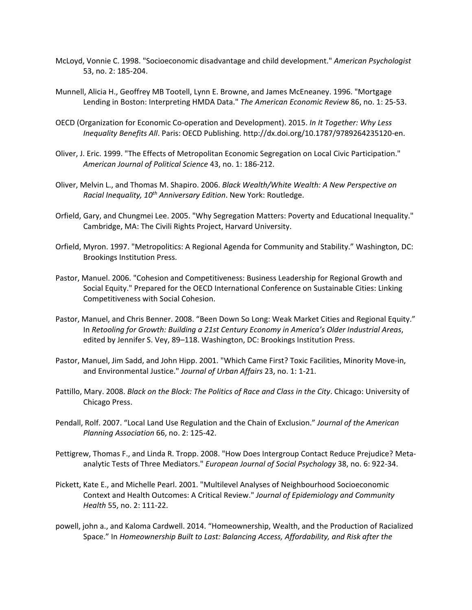- McLoyd, Vonnie C. 1998. "Socioeconomic disadvantage and child development." *American Psychologist* 53, no. 2: 185-204.
- Munnell, Alicia H., Geoffrey MB Tootell, Lynn E. Browne, and James McEneaney. 1996. "Mortgage Lending in Boston: Interpreting HMDA Data." *The American Economic Review* 86, no. 1: 25-53.
- OECD (Organization for Economic Co-operation and Development). 2015. *In It Together: Why Less Inequality Benefits All*. Paris: OECD Publishing. http://dx.doi.org/10.1787/9789264235120-en.
- Oliver, J. Eric. 1999. "The Effects of Metropolitan Economic Segregation on Local Civic Participation." *American Journal of Political Science* 43, no. 1: 186-212.
- Oliver, Melvin L., and Thomas M. Shapiro. 2006. *Black Wealth/White Wealth: A New Perspective on Racial Inequality, 10th Anniversary Edition*. New York: Routledge.
- Orfield, Gary, and Chungmei Lee. 2005. "Why Segregation Matters: Poverty and Educational Inequality." Cambridge, MA: The Civili Rights Project, Harvard University.
- Orfield, Myron. 1997. "Metropolitics: A Regional Agenda for Community and Stability." Washington, DC: Brookings Institution Press.
- Pastor, Manuel. 2006. "Cohesion and Competitiveness: Business Leadership for Regional Growth and Social Equity." Prepared for the OECD International Conference on Sustainable Cities: Linking Competitiveness with Social Cohesion.
- Pastor, Manuel, and Chris Benner. 2008. "Been Down So Long: Weak Market Cities and Regional Equity." In *Retooling for Growth: Building a 21st Century Economy in America's Older Industrial Areas*, edited by Jennifer S. Vey, 89–118. Washington, DC: Brookings Institution Press.
- Pastor, Manuel, Jim Sadd, and John Hipp. 2001. "Which Came First? Toxic Facilities, Minority Move-in, and Environmental Justice." *Journal of Urban Affairs* 23, no. 1: 1-21.
- Pattillo, Mary. 2008. *Black on the Block: The Politics of Race and Class in the City*. Chicago: University of Chicago Press.
- Pendall, Rolf. 2007. "Local Land Use Regulation and the Chain of Exclusion." *Journal of the American Planning Association* 66, no. 2: 125-42.
- Pettigrew, Thomas F., and Linda R. Tropp. 2008. "How Does Intergroup Contact Reduce Prejudice? Metaanalytic Tests of Three Mediators." *European Journal of Social Psychology* 38, no. 6: 922-34.
- Pickett, Kate E., and Michelle Pearl. 2001. "Multilevel Analyses of Neighbourhood Socioeconomic Context and Health Outcomes: A Critical Review." *Journal of Epidemiology and Community Health* 55, no. 2: 111-22.
- powell, john a., and Kaloma Cardwell. 2014. "Homeownership, Wealth, and the Production of Racialized Space." In *Homeownership Built to Last: Balancing Access, Affordability, and Risk after the*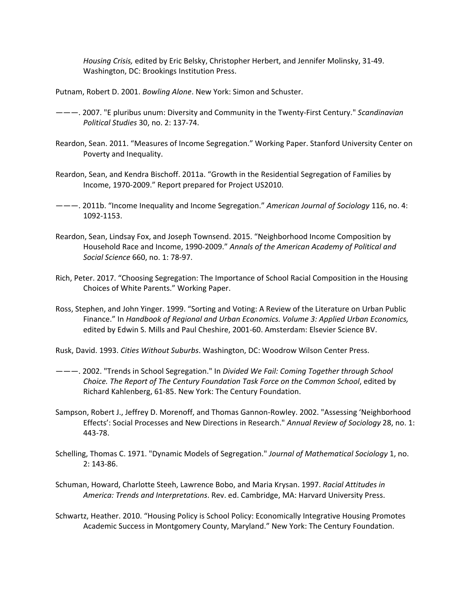*Housing Crisis,* edited by Eric Belsky, Christopher Herbert, and Jennifer Molinsky, 31-49. Washington, DC: Brookings Institution Press.

Putnam, Robert D. 2001. *Bowling Alone*. New York: Simon and Schuster.

- ———. 2007. "E pluribus unum: Diversity and Community in the Twenty-First Century." *Scandinavian Political Studies* 30, no. 2: 137-74.
- Reardon, Sean. 2011. "Measures of Income Segregation." Working Paper. Stanford University Center on Poverty and Inequality.
- Reardon, Sean, and Kendra Bischoff. 2011a. "Growth in the Residential Segregation of Families by Income, 1970-2009." Report prepared for Project US2010.
- ———. 2011b. "Income Inequality and Income Segregation." *American Journal of Sociology* 116, no. 4: 1092-1153.
- Reardon, Sean, Lindsay Fox, and Joseph Townsend. 2015. "Neighborhood Income Composition by Household Race and Income, 1990-2009." *Annals of the American Academy of Political and Social Science* 660, no. 1: 78-97.
- Rich, Peter. 2017. "Choosing Segregation: The Importance of School Racial Composition in the Housing Choices of White Parents." Working Paper.
- Ross, Stephen, and John Yinger. 1999. "Sorting and Voting: A Review of the Literature on Urban Public Finance." In *Handbook of Regional and Urban Economics. Volume 3: Applied Urban Economics,*  edited by Edwin S. Mills and Paul Cheshire, 2001-60. Amsterdam: Elsevier Science BV.
- Rusk, David. 1993. *Cities Without Suburbs*. Washington, DC: Woodrow Wilson Center Press.
- ———. 2002. "Trends in School Segregation." In *Divided We Fail: Coming Together through School Choice. The Report of The Century Foundation Task Force on the Common School*, edited by Richard Kahlenberg, 61-85. New York: The Century Foundation.
- Sampson, Robert J., Jeffrey D. Morenoff, and Thomas Gannon-Rowley. 2002. "Assessing 'Neighborhood Effects': Social Processes and New Directions in Research." *Annual Review of Sociology* 28, no. 1: 443-78.
- Schelling, Thomas C. 1971. "Dynamic Models of Segregation." *Journal of Mathematical Sociology* 1, no. 2: 143-86.
- Schuman, Howard, Charlotte Steeh, Lawrence Bobo, and Maria Krysan. 1997. *Racial Attitudes in America: Trends and Interpretations*. Rev. ed. Cambridge, MA: Harvard University Press.
- Schwartz, Heather. 2010. "Housing Policy is School Policy: Economically Integrative Housing Promotes Academic Success in Montgomery County, Maryland." New York: The Century Foundation.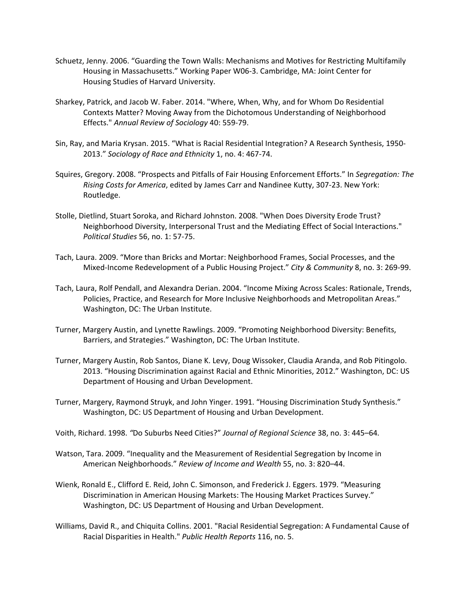- Schuetz, Jenny. 2006. "Guarding the Town Walls: Mechanisms and Motives for Restricting Multifamily Housing in Massachusetts." Working Paper W06-3. Cambridge, MA: Joint Center for Housing Studies of Harvard University.
- Sharkey, Patrick, and Jacob W. Faber. 2014. "Where, When, Why, and for Whom Do Residential Contexts Matter? Moving Away from the Dichotomous Understanding of Neighborhood Effects." *Annual Review of Sociology* 40: 559-79.
- Sin, Ray, and Maria Krysan. 2015. "What is Racial Residential Integration? A Research Synthesis, 1950- 2013." *Sociology of Race and Ethnicity* 1, no. 4: 467-74.
- Squires, Gregory. 2008. "Prospects and Pitfalls of Fair Housing Enforcement Efforts." In *Segregation: The Rising Costs for America*, edited by James Carr and Nandinee Kutty, 307-23. New York: Routledge.
- Stolle, Dietlind, Stuart Soroka, and Richard Johnston. 2008. "When Does Diversity Erode Trust? Neighborhood Diversity, Interpersonal Trust and the Mediating Effect of Social Interactions." *Political Studies* 56, no. 1: 57-75.
- Tach, Laura. 2009. "More than Bricks and Mortar: Neighborhood Frames, Social Processes, and the Mixed-Income Redevelopment of a Public Housing Project." *City & Community* 8, no. 3: 269-99.
- Tach, Laura, Rolf Pendall, and Alexandra Derian. 2004. "Income Mixing Across Scales: Rationale, Trends, Policies, Practice, and Research for More Inclusive Neighborhoods and Metropolitan Areas." Washington, DC: The Urban Institute.
- Turner, Margery Austin, and Lynette Rawlings. 2009. "Promoting Neighborhood Diversity: Benefits, Barriers, and Strategies." Washington, DC: The Urban Institute.
- Turner, Margery Austin, Rob Santos, Diane K. Levy, Doug Wissoker, Claudia Aranda, and Rob Pitingolo. 2013. "Housing Discrimination against Racial and Ethnic Minorities, 2012." Washington, DC: US Department of Housing and Urban Development.
- Turner, Margery, Raymond Struyk, and John Yinger. 1991. "Housing Discrimination Study Synthesis." Washington, DC: US Department of Housing and Urban Development.
- Voith, Richard. 1998. *"*Do Suburbs Need Cities?" *Journal of Regional Science* 38, no. 3: 445*–*64*.*
- Watson, Tara. 2009. "Inequality and the Measurement of Residential Segregation by Income in American Neighborhoods." *Review of Income and Wealth* 55, no. 3: 820–44.
- Wienk, Ronald E., Clifford E. Reid, John C. Simonson, and Frederick J. Eggers. 1979. "Measuring Discrimination in American Housing Markets: The Housing Market Practices Survey." Washington, DC: US Department of Housing and Urban Development.
- Williams, David R., and Chiquita Collins. 2001. "Racial Residential Segregation: A Fundamental Cause of Racial Disparities in Health." *Public Health Reports* 116, no. 5.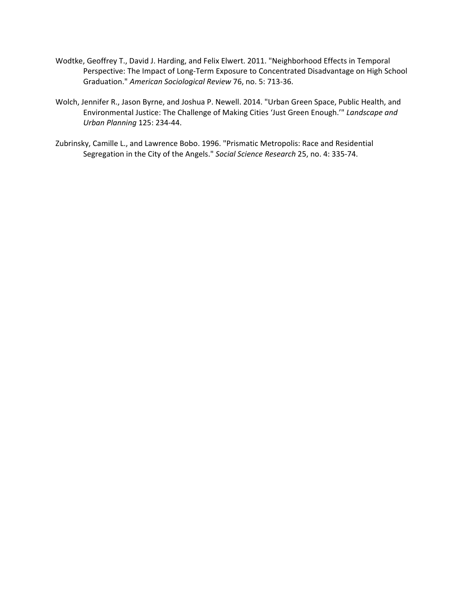- Wodtke, Geoffrey T., David J. Harding, and Felix Elwert. 2011. "Neighborhood Effects in Temporal Perspective: The Impact of Long-Term Exposure to Concentrated Disadvantage on High School Graduation." *American Sociological Review* 76, no. 5: 713-36.
- Wolch, Jennifer R., Jason Byrne, and Joshua P. Newell. 2014. "Urban Green Space, Public Health, and Environmental Justice: The Challenge of Making Cities 'Just Green Enough.'" *Landscape and Urban Planning* 125: 234-44.
- Zubrinsky, Camille L., and Lawrence Bobo. 1996. "Prismatic Metropolis: Race and Residential Segregation in the City of the Angels." *Social Science Research* 25, no. 4: 335-74.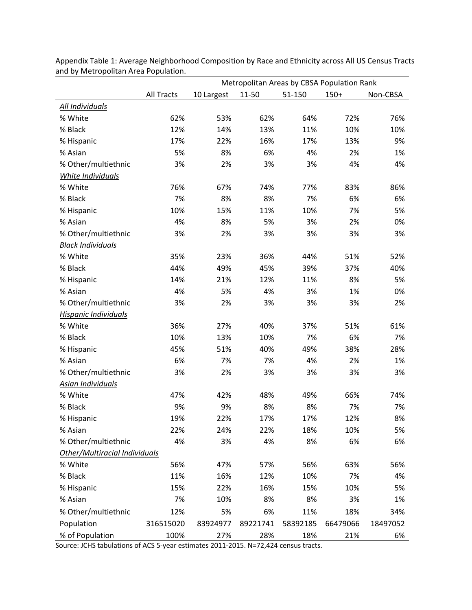|                               |            | Metropolitan Areas by CBSA Population Rank |          |          |          |          |  |  |  |
|-------------------------------|------------|--------------------------------------------|----------|----------|----------|----------|--|--|--|
|                               | All Tracts | 10 Largest                                 | 11-50    | 51-150   | $150+$   | Non-CBSA |  |  |  |
| All Individuals               |            |                                            |          |          |          |          |  |  |  |
| % White                       | 62%        | 53%                                        | 62%      | 64%      | 72%      | 76%      |  |  |  |
| % Black                       | 12%        | 14%                                        | 13%      | 11%      | 10%      | 10%      |  |  |  |
| % Hispanic                    | 17%        | 22%                                        | 16%      | 17%      | 13%      | 9%       |  |  |  |
| % Asian                       | 5%         | 8%                                         | 6%       | 4%       | 2%       | 1%       |  |  |  |
| % Other/multiethnic           | 3%         | 2%                                         | 3%       | 3%       | 4%       | 4%       |  |  |  |
| White Individuals             |            |                                            |          |          |          |          |  |  |  |
| % White                       | 76%        | 67%                                        | 74%      | 77%      | 83%      | 86%      |  |  |  |
| % Black                       | 7%         | 8%                                         | 8%       | 7%       | 6%       | 6%       |  |  |  |
| % Hispanic                    | 10%        | 15%                                        | 11%      | 10%      | 7%       | 5%       |  |  |  |
| % Asian                       | 4%         | 8%                                         | 5%       | 3%       | 2%       | 0%       |  |  |  |
| % Other/multiethnic           | 3%         | 2%                                         | 3%       | 3%       | 3%       | 3%       |  |  |  |
| <b>Black Individuals</b>      |            |                                            |          |          |          |          |  |  |  |
| % White                       | 35%        | 23%                                        | 36%      | 44%      | 51%      | 52%      |  |  |  |
| % Black                       | 44%        | 49%                                        | 45%      | 39%      | 37%      | 40%      |  |  |  |
| % Hispanic                    | 14%        | 21%                                        | 12%      | 11%      | 8%       | 5%       |  |  |  |
| % Asian                       | 4%         | 5%                                         | 4%       | 3%       | 1%       | 0%       |  |  |  |
| % Other/multiethnic           | 3%         | 2%                                         | 3%       | 3%       | 3%       | 2%       |  |  |  |
| Hispanic Individuals          |            |                                            |          |          |          |          |  |  |  |
| % White                       | 36%        | 27%                                        | 40%      | 37%      | 51%      | 61%      |  |  |  |
| % Black                       | 10%        | 13%                                        | 10%      | 7%       | 6%       | 7%       |  |  |  |
| % Hispanic                    | 45%        | 51%                                        | 40%      | 49%      | 38%      | 28%      |  |  |  |
| % Asian                       | 6%         | 7%                                         | 7%       | 4%       | 2%       | 1%       |  |  |  |
| % Other/multiethnic           | 3%         | 2%                                         | 3%       | 3%       | 3%       | 3%       |  |  |  |
| Asian Individuals             |            |                                            |          |          |          |          |  |  |  |
| % White                       | 47%        | 42%                                        | 48%      | 49%      | 66%      | 74%      |  |  |  |
| % Black                       | 9%         | 9%                                         | 8%       | 8%       | 7%       | 7%       |  |  |  |
| % Hispanic                    | 19%        | 22%                                        | 17%      | 17%      | 12%      | 8%       |  |  |  |
| % Asian                       | 22%        | 24%                                        | 22%      | 18%      | 10%      | 5%       |  |  |  |
| % Other/multiethnic           | 4%         | 3%                                         | 4%       | 8%       | 6%       | 6%       |  |  |  |
| Other/Multiracial Individuals |            |                                            |          |          |          |          |  |  |  |
| % White                       | 56%        | 47%                                        | 57%      | 56%      | 63%      | 56%      |  |  |  |
| % Black                       | 11%        | 16%                                        | 12%      | 10%      | 7%       | 4%       |  |  |  |
| % Hispanic                    | 15%        | 22%                                        | 16%      | 15%      | 10%      | 5%       |  |  |  |
| % Asian                       | 7%         | 10%                                        | 8%       | 8%       | 3%       | 1%       |  |  |  |
| % Other/multiethnic           | 12%        | 5%                                         | 6%       | 11%      | 18%      | 34%      |  |  |  |
| Population                    | 316515020  | 83924977                                   | 89221741 | 58392185 | 66479066 | 18497052 |  |  |  |
| % of Population               | 100%       | 27%                                        | 28%      | 18%      | 21%      | 6%       |  |  |  |

Appendix Table 1: Average Neighborhood Composition by Race and Ethnicity across All US Census Tracts and by Metropolitan Area Population.

Source: JCHS tabulations of ACS 5-year estimates 2011-2015. N=72,424 census tracts.